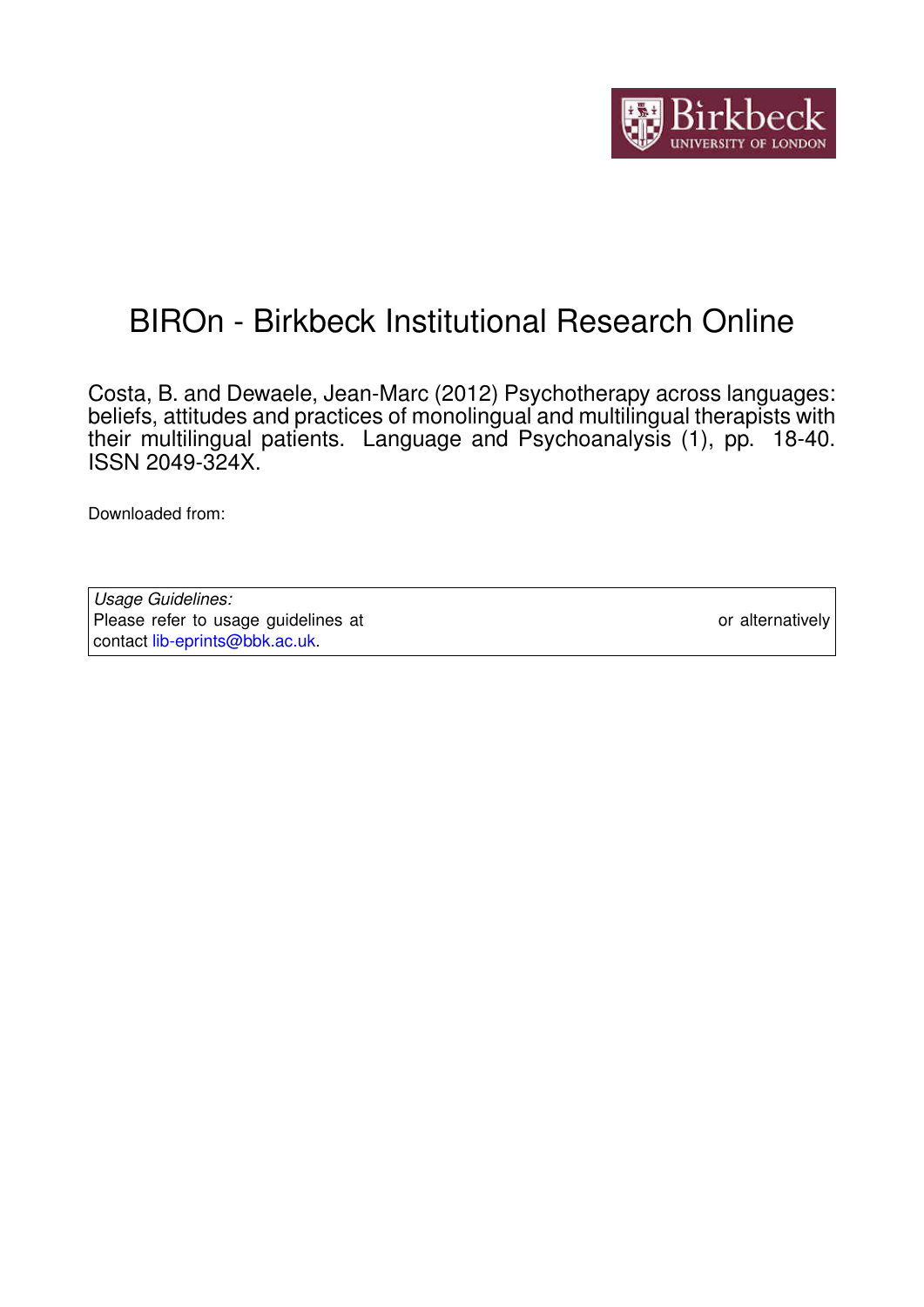

# BIROn - Birkbeck Institutional Research Online

Costa, B. and Dewaele, Jean-Marc (2012) Psychotherapy across languages: beliefs, attitudes and practices of monolingual and multilingual therapists with their multilingual patients. Language and Psychoanalysis (1), pp. 18-40. ISSN 2049-324X.

Downloaded from: <https://eprints.bbk.ac.uk/id/eprint/5275/>

*Usage Guidelines:* Please refer to usage guidelines at <https://eprints.bbk.ac.uk/policies.html> or alternatively contact [lib-eprints@bbk.ac.uk.](mailto:lib-eprints@bbk.ac.uk)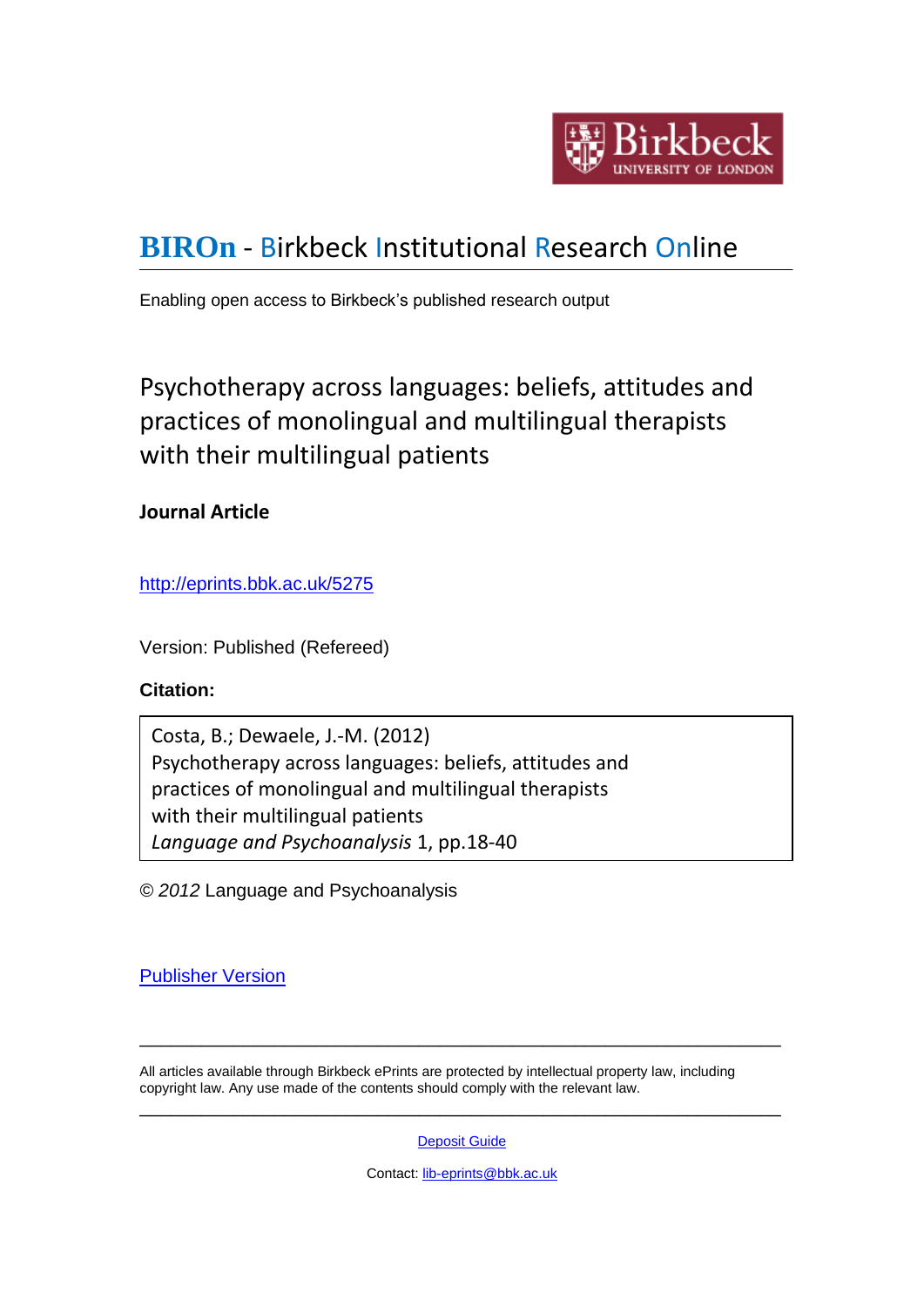

# **[BIROn](http://eprints.bbk.ac.uk/irstats.cgi)** - Birkbeck Institutional Research Online

Enabling open access to Birkbeck's published research output

Psychotherapy across languages: beliefs, attitudes and practices of monolingual and multilingual therapists with their multilingual patients

### **Journal Article**

<http://eprints.bbk.ac.uk/5275>

Version: Published (Refereed)

#### **Citation:**

Costa, B.; Dewaele, J.-M. (2012) Psychotherapy across languages: beliefs, attitudes and practices of monolingual and multilingual therapists with their multilingual patients *Language and Psychoanalysis* 1, pp.18-40

*© 2012* Language and Psychoanalysis

[Publisher Version](http://www.language-and-psychoanalysis.com/contents.html)

All articles available through Birkbeck ePrints are protected by intellectual property law, including copyright law. Any use made of the contents should comply with the relevant law.

[Deposit Guide](http://eprints.bbk.ac.uk/deposit_guide.html)

\_\_\_\_\_\_\_\_\_\_\_\_\_\_\_\_\_\_\_\_\_\_\_\_\_\_\_\_\_\_\_\_\_\_\_\_\_\_\_\_\_\_\_\_\_\_\_\_\_\_\_\_\_\_\_\_\_\_\_\_\_\_

\_\_\_\_\_\_\_\_\_\_\_\_\_\_\_\_\_\_\_\_\_\_\_\_\_\_\_\_\_\_\_\_\_\_\_\_\_\_\_\_\_\_\_\_\_\_\_\_\_\_\_\_\_\_\_\_\_\_\_\_\_\_

Contact: [lib-eprints@bbk.ac.uk](mailto:lib-eprints@bbk.ac.uk)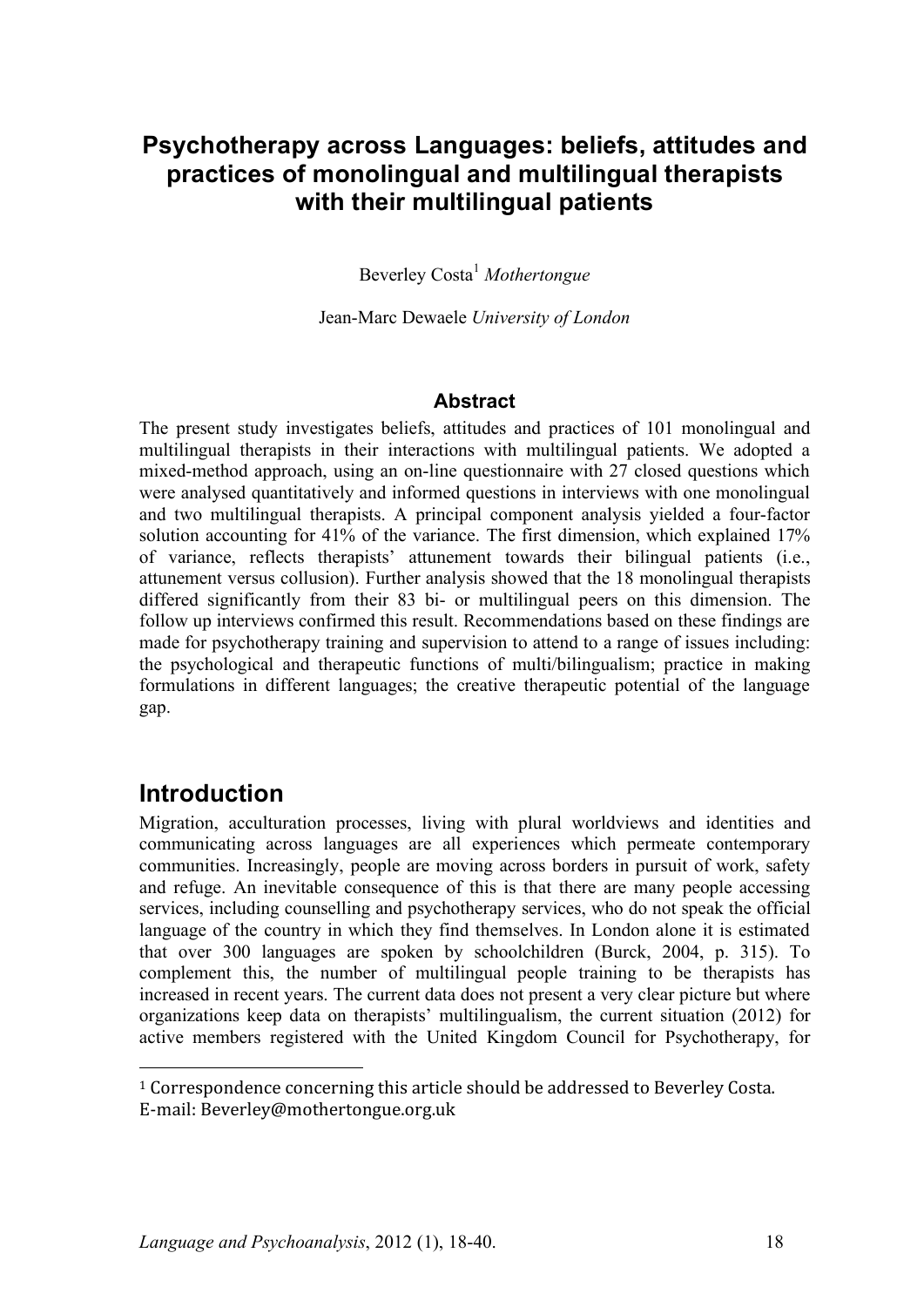## **Psychotherapy across Languages: beliefs, attitudes and practices of monolingual and multilingual therapists with their multilingual patients**

Beverley Costa<sup>1</sup> Mothertongue

Jean-Marc Dewaele *University of London*

#### **Abstract**

The present study investigates beliefs, attitudes and practices of 101 monolingual and multilingual therapists in their interactions with multilingual patients. We adopted a mixed-method approach, using an on-line questionnaire with 27 closed questions which were analysed quantitatively and informed questions in interviews with one monolingual and two multilingual therapists. A principal component analysis yielded a four-factor solution accounting for 41% of the variance. The first dimension, which explained 17% of variance, reflects therapists' attunement towards their bilingual patients (i.e., attunement versus collusion). Further analysis showed that the 18 monolingual therapists differed significantly from their 83 bi- or multilingual peers on this dimension. The follow up interviews confirmed this result. Recommendations based on these findings are made for psychotherapy training and supervision to attend to a range of issues including: the psychological and therapeutic functions of multi/bilingualism; practice in making formulations in different languages; the creative therapeutic potential of the language gap.

## **Introduction**

 $\overline{a}$ 

Migration, acculturation processes, living with plural worldviews and identities and communicating across languages are all experiences which permeate contemporary communities. Increasingly, people are moving across borders in pursuit of work, safety and refuge. An inevitable consequence of this is that there are many people accessing services, including counselling and psychotherapy services, who do not speak the official language of the country in which they find themselves. In London alone it is estimated that over 300 languages are spoken by schoolchildren (Burck, 2004, p. 315). To complement this, the number of multilingual people training to be therapists has increased in recent years. The current data does not present a very clear picture but where organizations keep data on therapists' multilingualism, the current situation (2012) for active members registered with the United Kingdom Council for Psychotherapy, for

<sup>&</sup>lt;sup>1</sup> Correspondence concerning this article should be addressed to Beverley Costa. E‐mail:
Beverley@mothertongue.org.uk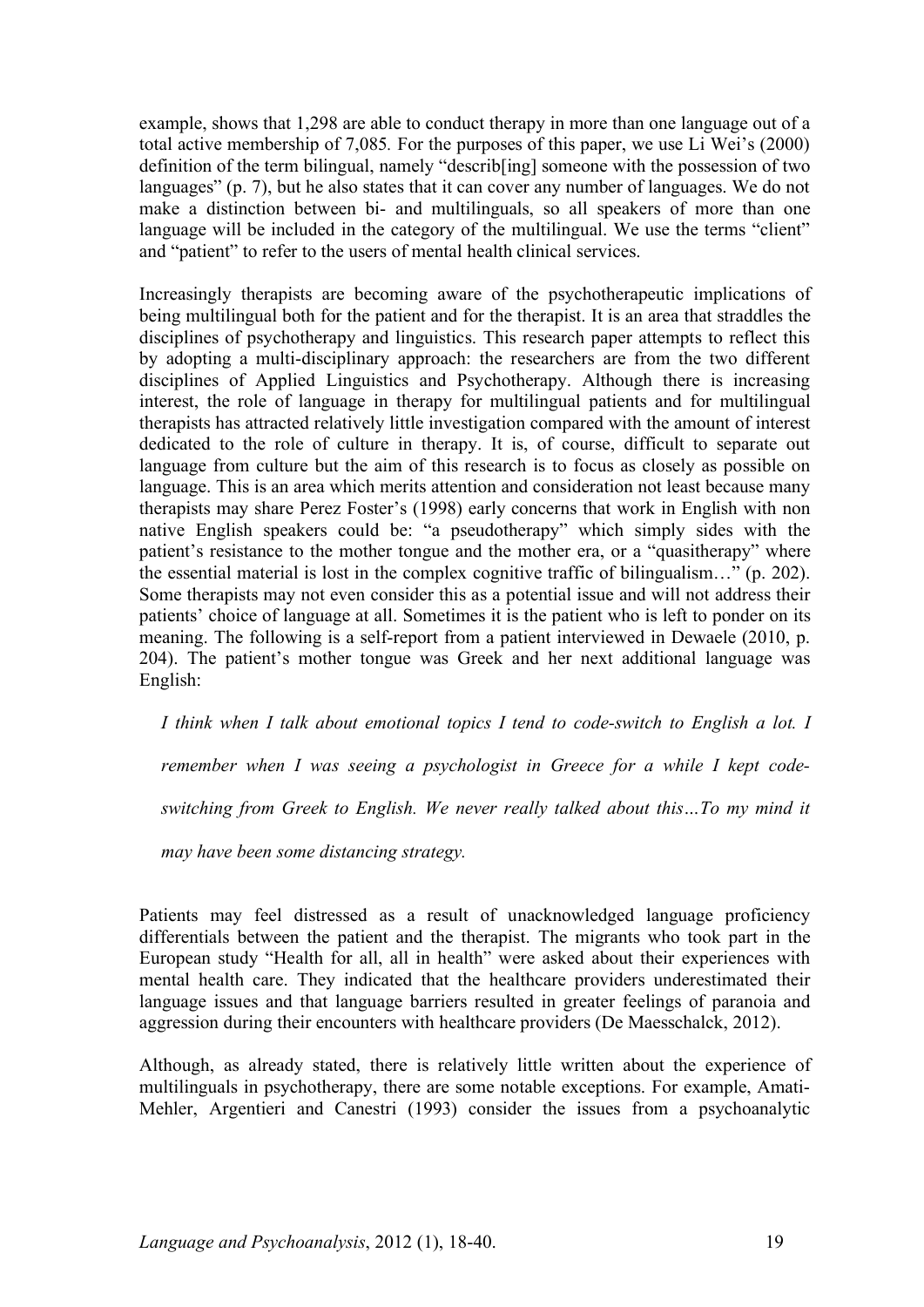example, shows that 1,298 are able to conduct therapy in more than one language out of a total active membership of 7,085*.* For the purposes of this paper, we use Li Wei's (2000) definition of the term bilingual, namely "describ[ing] someone with the possession of two languages" (p. 7), but he also states that it can cover any number of languages. We do not make a distinction between bi- and multilinguals, so all speakers of more than one language will be included in the category of the multilingual. We use the terms "client" and "patient" to refer to the users of mental health clinical services.

Increasingly therapists are becoming aware of the psychotherapeutic implications of being multilingual both for the patient and for the therapist. It is an area that straddles the disciplines of psychotherapy and linguistics. This research paper attempts to reflect this by adopting a multi-disciplinary approach: the researchers are from the two different disciplines of Applied Linguistics and Psychotherapy. Although there is increasing interest, the role of language in therapy for multilingual patients and for multilingual therapists has attracted relatively little investigation compared with the amount of interest dedicated to the role of culture in therapy. It is, of course, difficult to separate out language from culture but the aim of this research is to focus as closely as possible on language. This is an area which merits attention and consideration not least because many therapists may share Perez Foster's (1998) early concerns that work in English with non native English speakers could be: "a pseudotherapy" which simply sides with the patient's resistance to the mother tongue and the mother era, or a "quasitherapy" where the essential material is lost in the complex cognitive traffic of bilingualism…" (p. 202). Some therapists may not even consider this as a potential issue and will not address their patients' choice of language at all. Sometimes it is the patient who is left to ponder on its meaning. The following is a self-report from a patient interviewed in Dewaele (2010, p. 204). The patient's mother tongue was Greek and her next additional language was English:

*I think when I talk about emotional topics I tend to code-switch to English a lot. I remember when I was seeing a psychologist in Greece for a while I kept codeswitching from Greek to English. We never really talked about this…To my mind it may have been some distancing strategy.*

Patients may feel distressed as a result of unacknowledged language proficiency differentials between the patient and the therapist. The migrants who took part in the European study "Health for all, all in health" were asked about their experiences with mental health care. They indicated that the healthcare providers underestimated their language issues and that language barriers resulted in greater feelings of paranoia and aggression during their encounters with healthcare providers (De Maesschalck, 2012).

Although, as already stated, there is relatively little written about the experience of multilinguals in psychotherapy, there are some notable exceptions. For example, Amati-Mehler, Argentieri and Canestri (1993) consider the issues from a psychoanalytic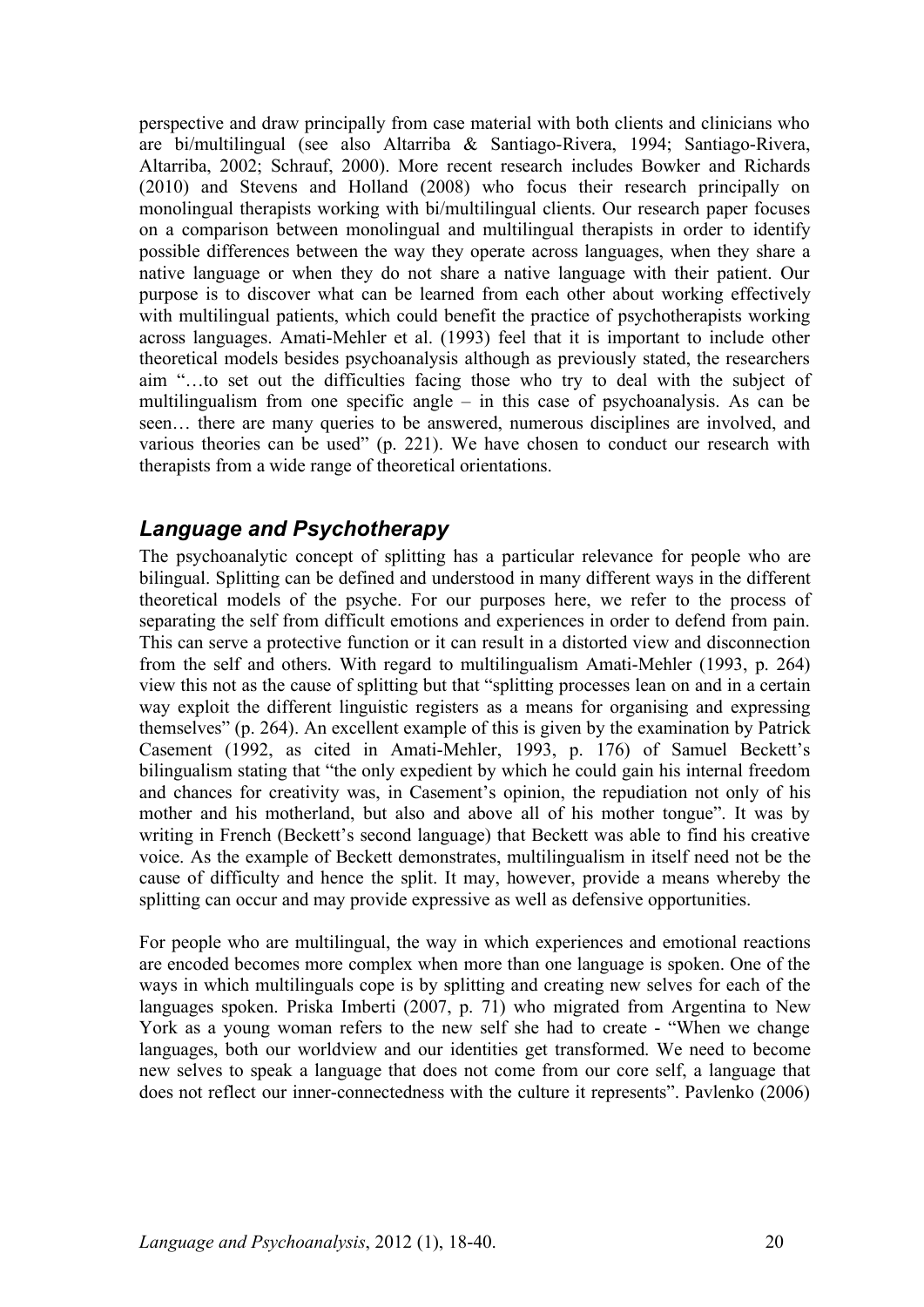perspective and draw principally from case material with both clients and clinicians who are bi/multilingual (see also Altarriba & Santiago-Rivera, 1994; Santiago-Rivera, Altarriba, 2002; Schrauf, 2000). More recent research includes Bowker and Richards (2010) and Stevens and Holland (2008) who focus their research principally on monolingual therapists working with bi/multilingual clients. Our research paper focuses on a comparison between monolingual and multilingual therapists in order to identify possible differences between the way they operate across languages, when they share a native language or when they do not share a native language with their patient. Our purpose is to discover what can be learned from each other about working effectively with multilingual patients, which could benefit the practice of psychotherapists working across languages. Amati-Mehler et al. (1993) feel that it is important to include other theoretical models besides psychoanalysis although as previously stated, the researchers aim "…to set out the difficulties facing those who try to deal with the subject of multilingualism from one specific angle – in this case of psychoanalysis. As can be seen… there are many queries to be answered, numerous disciplines are involved, and various theories can be used" (p. 221). We have chosen to conduct our research with therapists from a wide range of theoretical orientations.

#### *Language and Psychotherapy*

The psychoanalytic concept of splitting has a particular relevance for people who are bilingual. Splitting can be defined and understood in many different ways in the different theoretical models of the psyche. For our purposes here, we refer to the process of separating the self from difficult emotions and experiences in order to defend from pain. This can serve a protective function or it can result in a distorted view and disconnection from the self and others. With regard to multilingualism Amati-Mehler (1993, p. 264) view this not as the cause of splitting but that "splitting processes lean on and in a certain way exploit the different linguistic registers as a means for organising and expressing themselves" (p. 264). An excellent example of this is given by the examination by Patrick Casement (1992, as cited in Amati-Mehler, 1993, p. 176) of Samuel Beckett's bilingualism stating that "the only expedient by which he could gain his internal freedom and chances for creativity was, in Casement's opinion, the repudiation not only of his mother and his motherland, but also and above all of his mother tongue". It was by writing in French (Beckett's second language) that Beckett was able to find his creative voice. As the example of Beckett demonstrates, multilingualism in itself need not be the cause of difficulty and hence the split. It may, however, provide a means whereby the splitting can occur and may provide expressive as well as defensive opportunities.

For people who are multilingual, the way in which experiences and emotional reactions are encoded becomes more complex when more than one language is spoken. One of the ways in which multilinguals cope is by splitting and creating new selves for each of the languages spoken. Priska Imberti (2007, p. 71) who migrated from Argentina to New York as a young woman refers to the new self she had to create - "When we change languages, both our worldview and our identities get transformed. We need to become new selves to speak a language that does not come from our core self, a language that does not reflect our inner-connectedness with the culture it represents". Pavlenko (2006)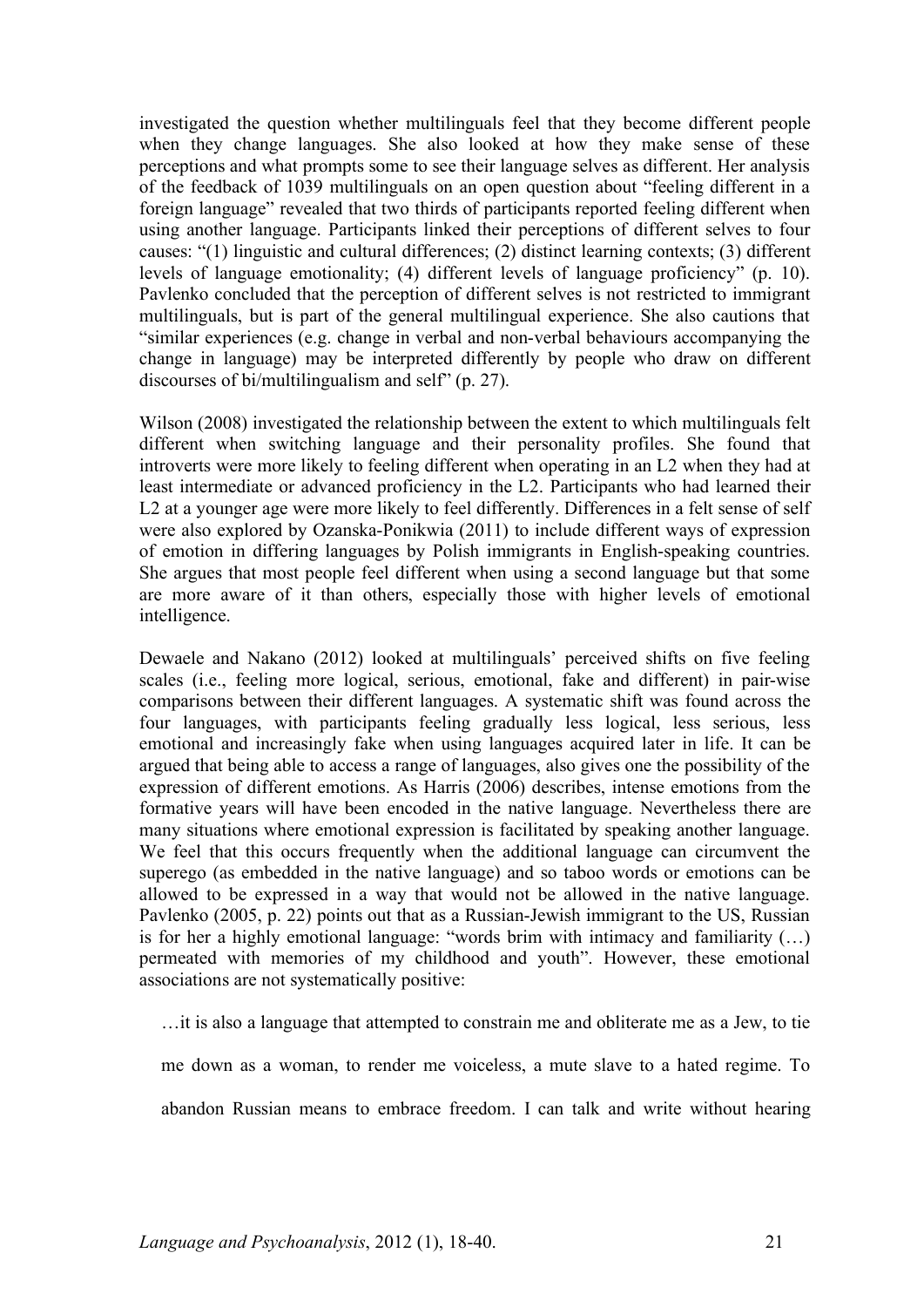investigated the question whether multilinguals feel that they become different people when they change languages. She also looked at how they make sense of these perceptions and what prompts some to see their language selves as different. Her analysis of the feedback of 1039 multilinguals on an open question about "feeling different in a foreign language" revealed that two thirds of participants reported feeling different when using another language. Participants linked their perceptions of different selves to four causes: "(1) linguistic and cultural differences; (2) distinct learning contexts; (3) different levels of language emotionality; (4) different levels of language proficiency" (p. 10). Pavlenko concluded that the perception of different selves is not restricted to immigrant multilinguals, but is part of the general multilingual experience. She also cautions that "similar experiences (e.g. change in verbal and non-verbal behaviours accompanying the change in language) may be interpreted differently by people who draw on different discourses of bi/multilingualism and self" (p. 27).

Wilson (2008) investigated the relationship between the extent to which multilinguals felt different when switching language and their personality profiles. She found that introverts were more likely to feeling different when operating in an L2 when they had at least intermediate or advanced proficiency in the L2. Participants who had learned their L<sub>2</sub> at a younger age were more likely to feel differently. Differences in a felt sense of self were also explored by Ozanska-Ponikwia (2011) to include different ways of expression of emotion in differing languages by Polish immigrants in English-speaking countries. She argues that most people feel different when using a second language but that some are more aware of it than others, especially those with higher levels of emotional intelligence.

Dewaele and Nakano (2012) looked at multilinguals' perceived shifts on five feeling scales (i.e., feeling more logical, serious, emotional, fake and different) in pair-wise comparisons between their different languages. A systematic shift was found across the four languages, with participants feeling gradually less logical, less serious, less emotional and increasingly fake when using languages acquired later in life. It can be argued that being able to access a range of languages, also gives one the possibility of the expression of different emotions. As Harris (2006) describes, intense emotions from the formative years will have been encoded in the native language. Nevertheless there are many situations where emotional expression is facilitated by speaking another language. We feel that this occurs frequently when the additional language can circumvent the superego (as embedded in the native language) and so taboo words or emotions can be allowed to be expressed in a way that would not be allowed in the native language. Pavlenko (2005, p. 22) points out that as a Russian-Jewish immigrant to the US, Russian is for her a highly emotional language: "words brim with intimacy and familiarity (…) permeated with memories of my childhood and youth". However, these emotional associations are not systematically positive:

…it is also a language that attempted to constrain me and obliterate me as a Jew, to tie me down as a woman, to render me voiceless, a mute slave to a hated regime. To abandon Russian means to embrace freedom. I can talk and write without hearing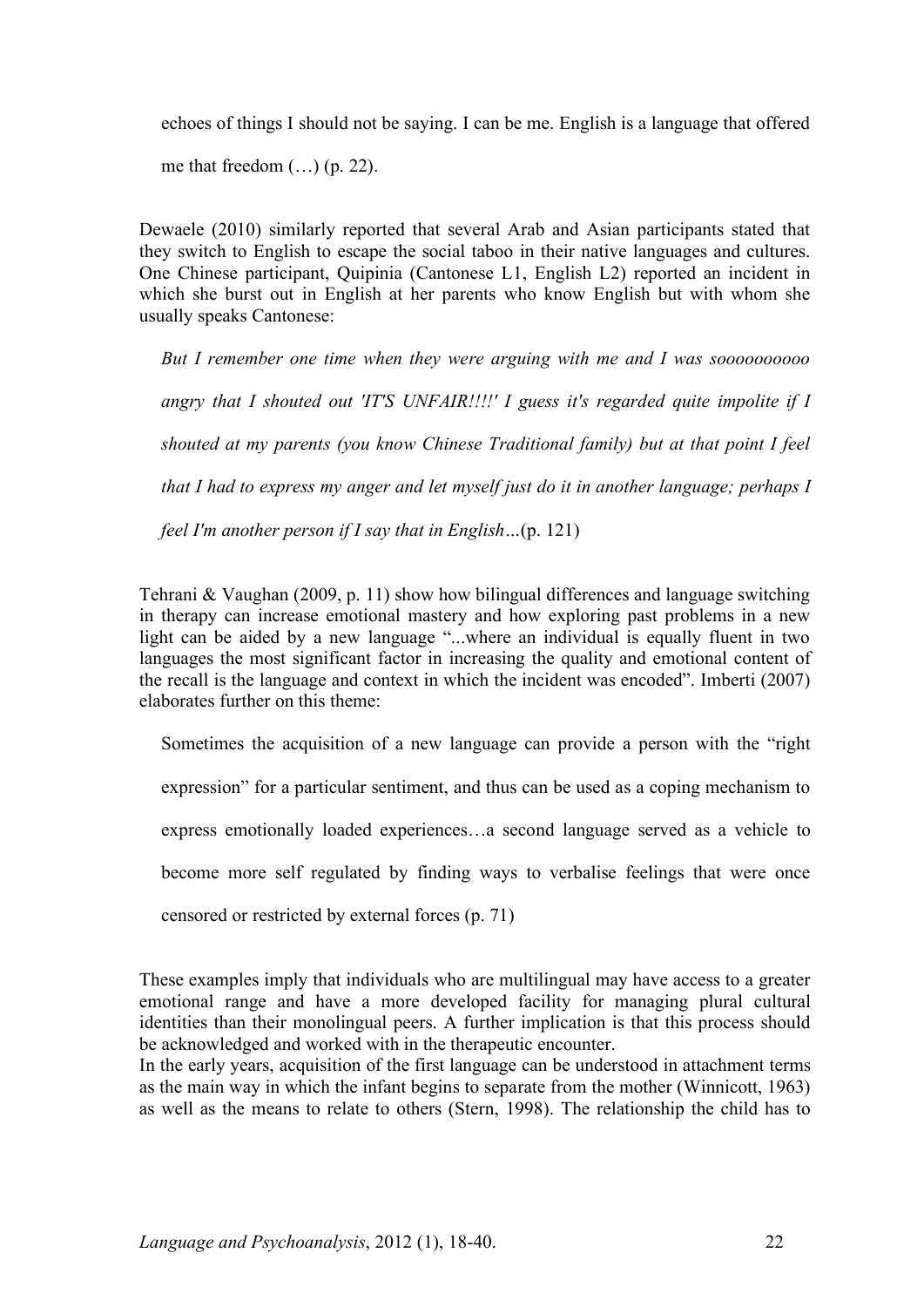echoes of things I should not be saying. I can be me. English is a language that offered

me that freedom  $(...)$  (p. 22).

Dewaele (2010) similarly reported that several Arab and Asian participants stated that they switch to English to escape the social taboo in their native languages and cultures. One Chinese participant, Quipinia (Cantonese L1, English L2) reported an incident in which she burst out in English at her parents who know English but with whom she usually speaks Cantonese:

*But I remember one time when they were arguing with me and I was soooooooooo angry that I shouted out 'IT'S UNFAIR!!!!' I guess it's regarded quite impolite if I shouted at my parents (you know Chinese Traditional family) but at that point I feel that I had to express my anger and let myself just do it in another language; perhaps I* 

*feel I'm another person if I say that in English…*(p. 121)

Tehrani & Vaughan (2009, p. 11) show how bilingual differences and language switching in therapy can increase emotional mastery and how exploring past problems in a new light can be aided by a new language "...where an individual is equally fluent in two languages the most significant factor in increasing the quality and emotional content of the recall is the language and context in which the incident was encoded". Imberti (2007) elaborates further on this theme:

Sometimes the acquisition of a new language can provide a person with the "right

expression" for a particular sentiment, and thus can be used as a coping mechanism to

express emotionally loaded experiences…a second language served as a vehicle to

become more self regulated by finding ways to verbalise feelings that were once

censored or restricted by external forces (p. 71)

These examples imply that individuals who are multilingual may have access to a greater emotional range and have a more developed facility for managing plural cultural identities than their monolingual peers. A further implication is that this process should be acknowledged and worked with in the therapeutic encounter.

In the early years, acquisition of the first language can be understood in attachment terms as the main way in which the infant begins to separate from the mother (Winnicott, 1963) as well as the means to relate to others (Stern, 1998). The relationship the child has to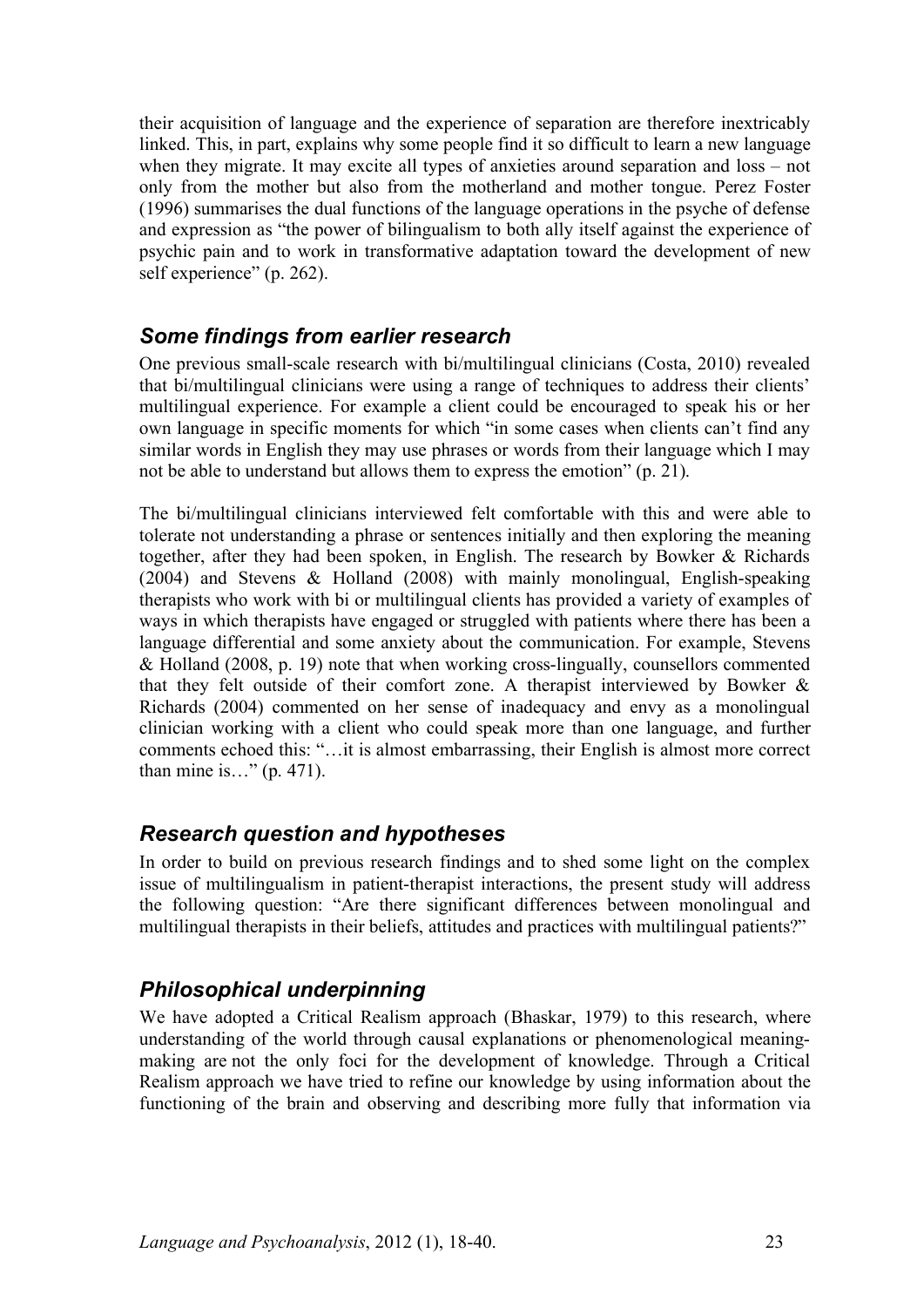their acquisition of language and the experience of separation are therefore inextricably linked. This, in part, explains why some people find it so difficult to learn a new language when they migrate. It may excite all types of anxieties around separation and loss – not only from the mother but also from the motherland and mother tongue. Perez Foster (1996) summarises the dual functions of the language operations in the psyche of defense and expression as "the power of bilingualism to both ally itself against the experience of psychic pain and to work in transformative adaptation toward the development of new self experience" (p. 262).

### *Some findings from earlier research*

One previous small-scale research with bi/multilingual clinicians (Costa, 2010) revealed that bi/multilingual clinicians were using a range of techniques to address their clients' multilingual experience. For example a client could be encouraged to speak his or her own language in specific moments for which "in some cases when clients can't find any similar words in English they may use phrases or words from their language which I may not be able to understand but allows them to express the emotion" (p. 21).

The bi/multilingual clinicians interviewed felt comfortable with this and were able to tolerate not understanding a phrase or sentences initially and then exploring the meaning together, after they had been spoken, in English. The research by Bowker & Richards (2004) and Stevens & Holland (2008) with mainly monolingual, English-speaking therapists who work with bi or multilingual clients has provided a variety of examples of ways in which therapists have engaged or struggled with patients where there has been a language differential and some anxiety about the communication. For example, Stevens & Holland (2008, p. 19) note that when working cross-lingually, counsellors commented that they felt outside of their comfort zone. A therapist interviewed by Bowker & Richards (2004) commented on her sense of inadequacy and envy as a monolingual clinician working with a client who could speak more than one language, and further comments echoed this: "…it is almost embarrassing, their English is almost more correct than mine is..." (p. 471).

## *Research question and hypotheses*

In order to build on previous research findings and to shed some light on the complex issue of multilingualism in patient-therapist interactions, the present study will address the following question: "Are there significant differences between monolingual and multilingual therapists in their beliefs, attitudes and practices with multilingual patients?"

## *Philosophical underpinning*

We have adopted a Critical Realism approach (Bhaskar, 1979) to this research, where understanding of the world through causal explanations or phenomenological meaningmaking are not the only foci for the development of knowledge. Through a Critical Realism approach we have tried to refine our knowledge by using information about the functioning of the brain and observing and describing more fully that information via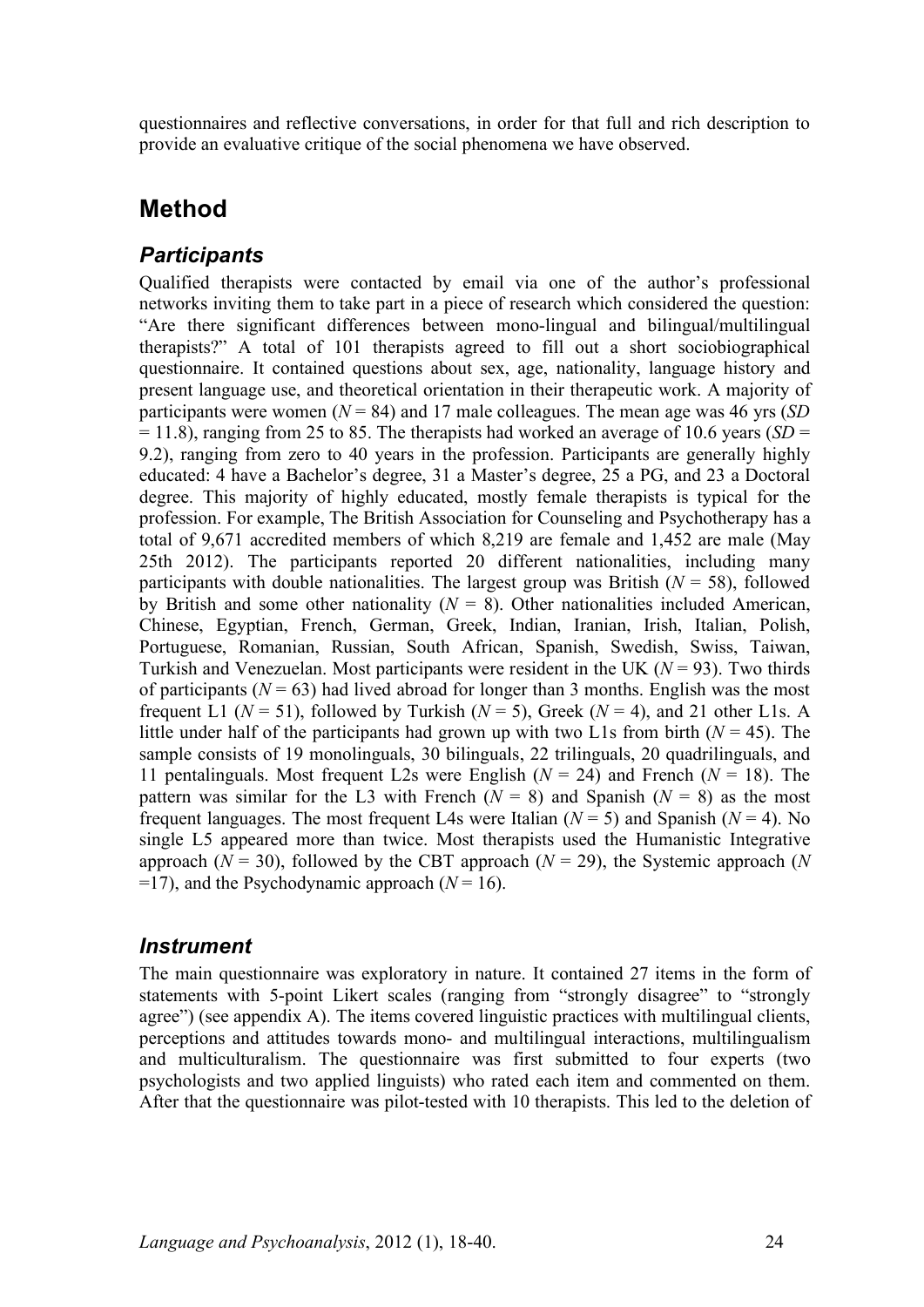questionnaires and reflective conversations, in order for that full and rich description to provide an evaluative critique of the social phenomena we have observed.

## **Method**

### *Participants*

Qualified therapists were contacted by email via one of the author's professional networks inviting them to take part in a piece of research which considered the question: "Are there significant differences between mono-lingual and bilingual/multilingual therapists?" A total of 101 therapists agreed to fill out a short sociobiographical questionnaire. It contained questions about sex, age, nationality, language history and present language use, and theoretical orientation in their therapeutic work. A majority of participants were women ( $N = 84$ ) and 17 male colleagues. The mean age was 46 yrs (*SD*)  $= 11.8$ ), ranging from 25 to 85. The therapists had worked an average of 10.6 years (*SD* = 9.2), ranging from zero to 40 years in the profession. Participants are generally highly educated: 4 have a Bachelor's degree, 31 a Master's degree, 25 a PG, and 23 a Doctoral degree. This majority of highly educated, mostly female therapists is typical for the profession. For example, The British Association for Counseling and Psychotherapy has a total of 9,671 accredited members of which 8,219 are female and 1,452 are male (May 25th 2012). The participants reported 20 different nationalities, including many participants with double nationalities. The largest group was British  $(N = 58)$ , followed by British and some other nationality  $(N = 8)$ . Other nationalities included American, Chinese, Egyptian, French, German, Greek, Indian, Iranian, Irish, Italian, Polish, Portuguese, Romanian, Russian, South African, Spanish, Swedish, Swiss, Taiwan, Turkish and Venezuelan. Most participants were resident in the UK  $(N = 93)$ . Two thirds of participants ( $N = 63$ ) had lived abroad for longer than 3 months. English was the most frequent L1 ( $N = 51$ ), followed by Turkish ( $N = 5$ ), Greek ( $N = 4$ ), and 21 other L1s. A little under half of the participants had grown up with two L1s from birth  $(N = 45)$ . The sample consists of 19 monolinguals, 30 bilinguals, 22 trilinguals, 20 quadrilinguals, and 11 pentalinguals. Most frequent L2s were English  $(N = 24)$  and French  $(N = 18)$ . The pattern was similar for the L3 with French  $(N = 8)$  and Spanish  $(N = 8)$  as the most frequent languages. The most frequent L4s were Italian  $(N = 5)$  and Spanish  $(N = 4)$ . No single L5 appeared more than twice. Most therapists used the Humanistic Integrative approach ( $N = 30$ ), followed by the CBT approach ( $N = 29$ ), the Systemic approach ( $N = 10$ )  $=$ 17), and the Psychodynamic approach ( $N$  = 16).

### *Instrument*

The main questionnaire was exploratory in nature. It contained 27 items in the form of statements with 5-point Likert scales (ranging from "strongly disagree" to "strongly agree") (see appendix A). The items covered linguistic practices with multilingual clients, perceptions and attitudes towards mono- and multilingual interactions, multilingualism and multiculturalism. The questionnaire was first submitted to four experts (two psychologists and two applied linguists) who rated each item and commented on them. After that the questionnaire was pilot-tested with 10 therapists. This led to the deletion of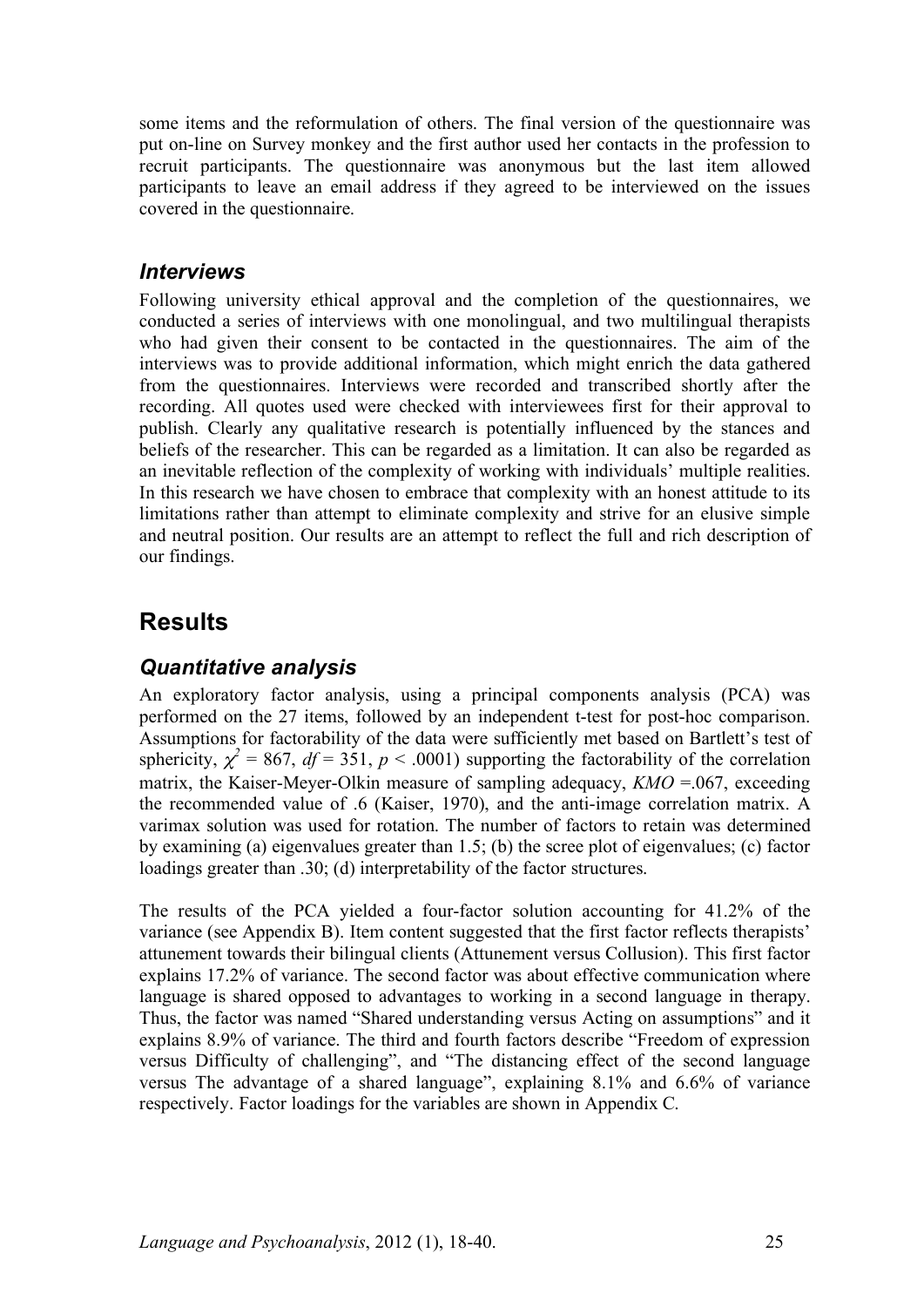some items and the reformulation of others. The final version of the questionnaire was put on-line on Survey monkey and the first author used her contacts in the profession to recruit participants. The questionnaire was anonymous but the last item allowed participants to leave an email address if they agreed to be interviewed on the issues covered in the questionnaire.

#### *Interviews*

Following university ethical approval and the completion of the questionnaires, we conducted a series of interviews with one monolingual, and two multilingual therapists who had given their consent to be contacted in the questionnaires. The aim of the interviews was to provide additional information, which might enrich the data gathered from the questionnaires. Interviews were recorded and transcribed shortly after the recording. All quotes used were checked with interviewees first for their approval to publish. Clearly any qualitative research is potentially influenced by the stances and beliefs of the researcher. This can be regarded as a limitation. It can also be regarded as an inevitable reflection of the complexity of working with individuals' multiple realities. In this research we have chosen to embrace that complexity with an honest attitude to its limitations rather than attempt to eliminate complexity and strive for an elusive simple and neutral position. Our results are an attempt to reflect the full and rich description of our findings.

## **Results**

#### *Quantitative analysis*

An exploratory factor analysis, using a principal components analysis (PCA) was performed on the 27 items, followed by an independent t-test for post-hoc comparison. Assumptions for factorability of the data were sufficiently met based on Bartlett's test of sphericity,  $\chi^2 = 867$ ,  $df = 351$ ,  $p < .0001$ ) supporting the factorability of the correlation matrix, the Kaiser-Meyer-Olkin measure of sampling adequacy,  $KMO = 0.067$ , exceeding the recommended value of .6 (Kaiser, 1970), and the anti-image correlation matrix. A varimax solution was used for rotation. The number of factors to retain was determined by examining (a) eigenvalues greater than 1.5; (b) the scree plot of eigenvalues; (c) factor loadings greater than .30; (d) interpretability of the factor structures.

The results of the PCA yielded a four-factor solution accounting for 41.2% of the variance (see Appendix B). Item content suggested that the first factor reflects therapists' attunement towards their bilingual clients (Attunement versus Collusion). This first factor explains 17.2% of variance. The second factor was about effective communication where language is shared opposed to advantages to working in a second language in therapy. Thus, the factor was named "Shared understanding versus Acting on assumptions" and it explains 8.9% of variance. The third and fourth factors describe "Freedom of expression versus Difficulty of challenging", and "The distancing effect of the second language versus The advantage of a shared language", explaining 8.1% and 6.6% of variance respectively. Factor loadings for the variables are shown in Appendix C.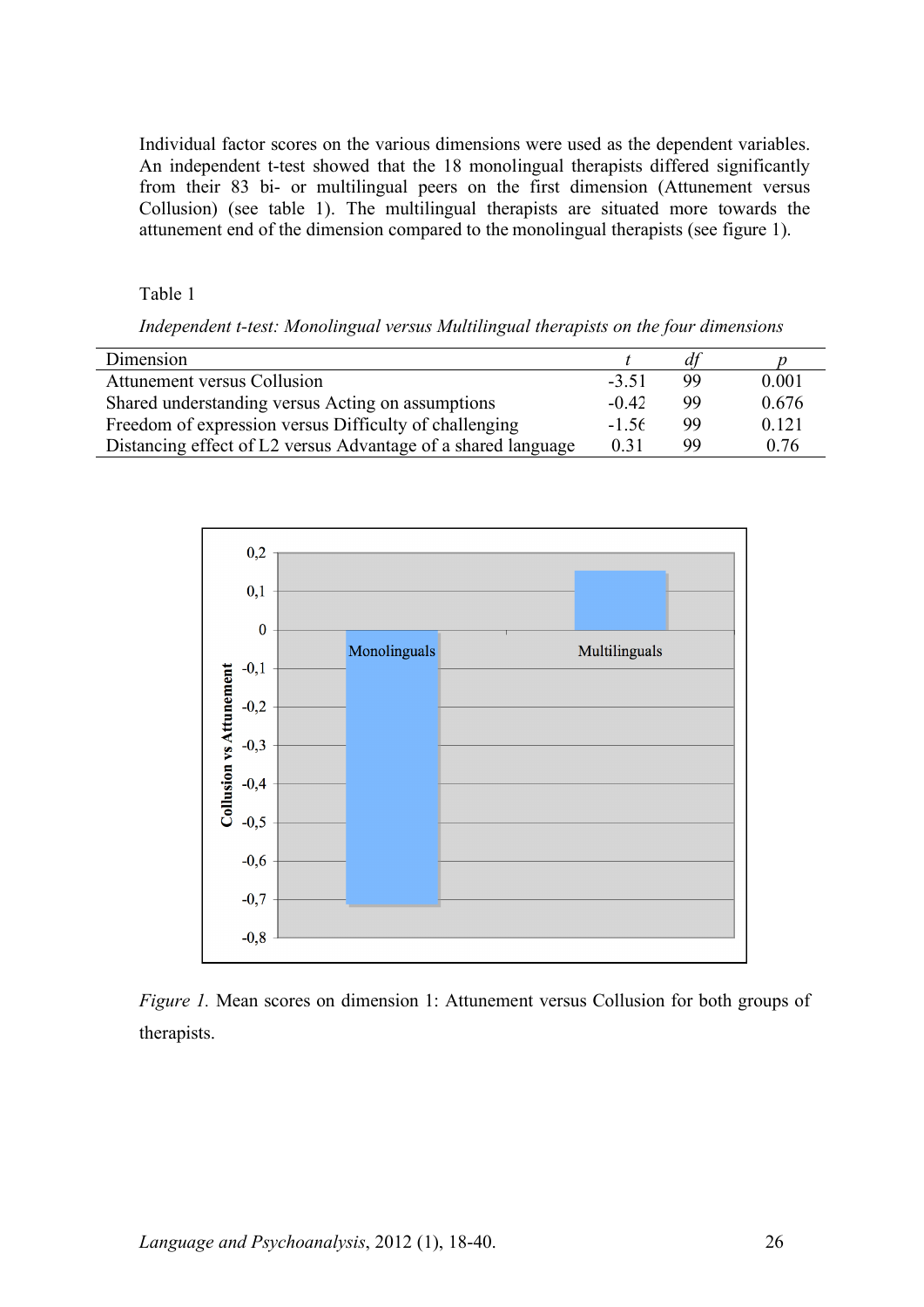Individual factor scores on the various dimensions were used as the dependent variables. An independent t-test showed that the 18 monolingual therapists differed significantly from their 83 bi- or multilingual peers on the first dimension (Attunement versus Collusion) (see table 1). The multilingual therapists are situated more towards the attunement end of the dimension compared to the monolingual therapists (see figure 1).

Table 1

*Independent t-test: Monolingual versus Multilingual therapists on the four dimensions*

| Dimension                                                     |         |    |       |
|---------------------------------------------------------------|---------|----|-------|
| Attunement versus Collusion                                   | $-3,51$ | 99 | 0.001 |
| Shared understanding versus Acting on assumptions             | $-0.42$ | 99 | 0.676 |
| Freedom of expression versus Difficulty of challenging        | $-1,56$ | 99 | 0.121 |
| Distancing effect of L2 versus Advantage of a shared language | 0.31    | 99 | 0.76  |



*Figure 1.* Mean scores on dimension 1: Attunement versus Collusion for both groups of therapists.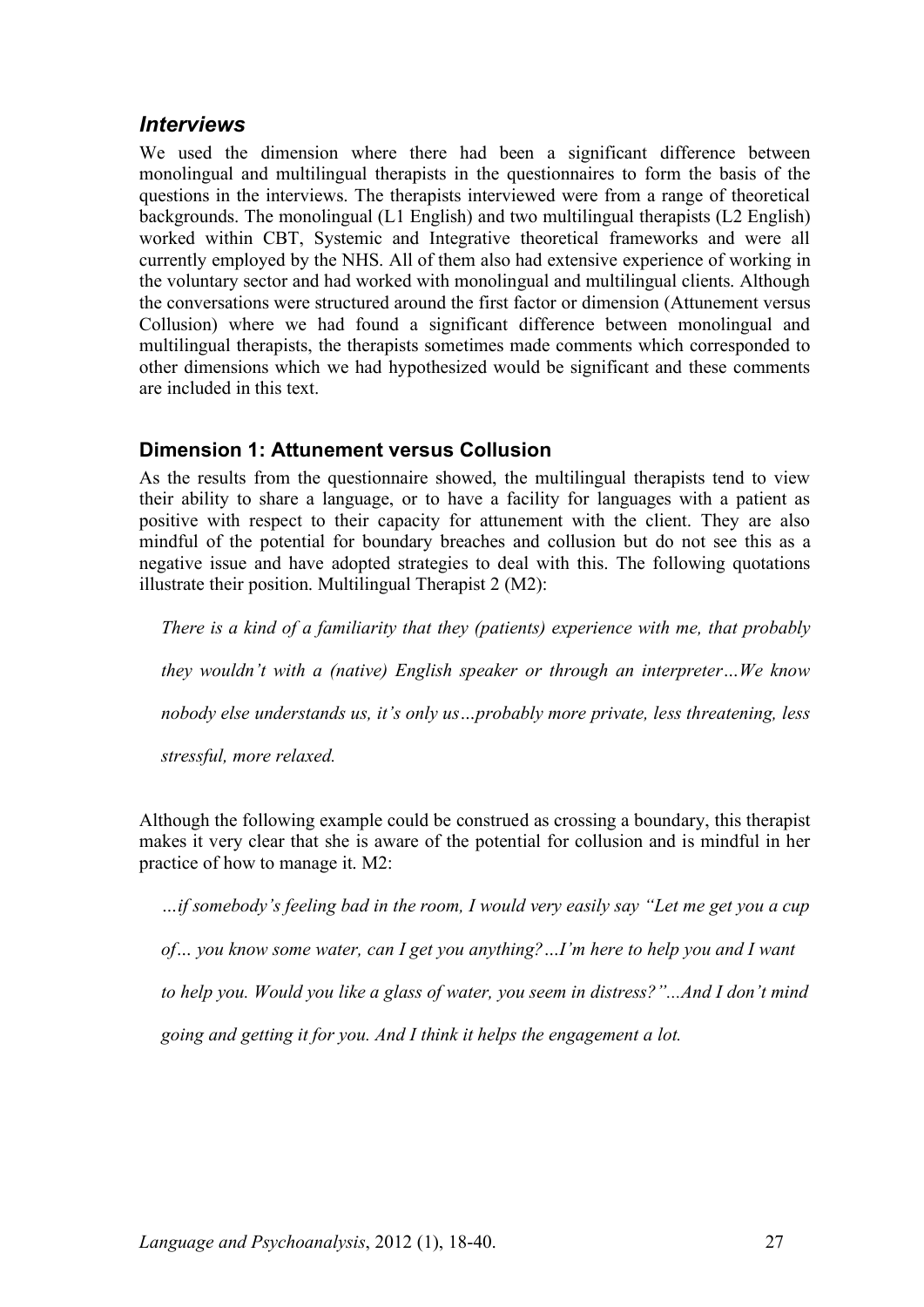### *Interviews*

We used the dimension where there had been a significant difference between monolingual and multilingual therapists in the questionnaires to form the basis of the questions in the interviews. The therapists interviewed were from a range of theoretical backgrounds. The monolingual (L1 English) and two multilingual therapists (L2 English) worked within CBT, Systemic and Integrative theoretical frameworks and were all currently employed by the NHS. All of them also had extensive experience of working in the voluntary sector and had worked with monolingual and multilingual clients. Although the conversations were structured around the first factor or dimension (Attunement versus Collusion) where we had found a significant difference between monolingual and multilingual therapists, the therapists sometimes made comments which corresponded to other dimensions which we had hypothesized would be significant and these comments are included in this text.

### **Dimension 1: Attunement versus Collusion**

As the results from the questionnaire showed, the multilingual therapists tend to view their ability to share a language, or to have a facility for languages with a patient as positive with respect to their capacity for attunement with the client. They are also mindful of the potential for boundary breaches and collusion but do not see this as a negative issue and have adopted strategies to deal with this. The following quotations illustrate their position. Multilingual Therapist 2 (M2):

*There is a kind of a familiarity that they (patients) experience with me, that probably* 

*they wouldn't with a (native) English speaker or through an interpreter…We know* 

*nobody else understands us, it's only us…probably more private, less threatening, less* 

*stressful, more relaxed.*

Although the following example could be construed as crossing a boundary, this therapist makes it very clear that she is aware of the potential for collusion and is mindful in her practice of how to manage it. M2:

*…if somebody's feeling bad in the room, I would very easily say "Let me get you a cup* 

*of… you know some water, can I get you anything?…I'm here to help you and I want* 

*to help you. Would you like a glass of water, you seem in distress?"...And I don't mind* 

*going and getting it for you. And I think it helps the engagement a lot.*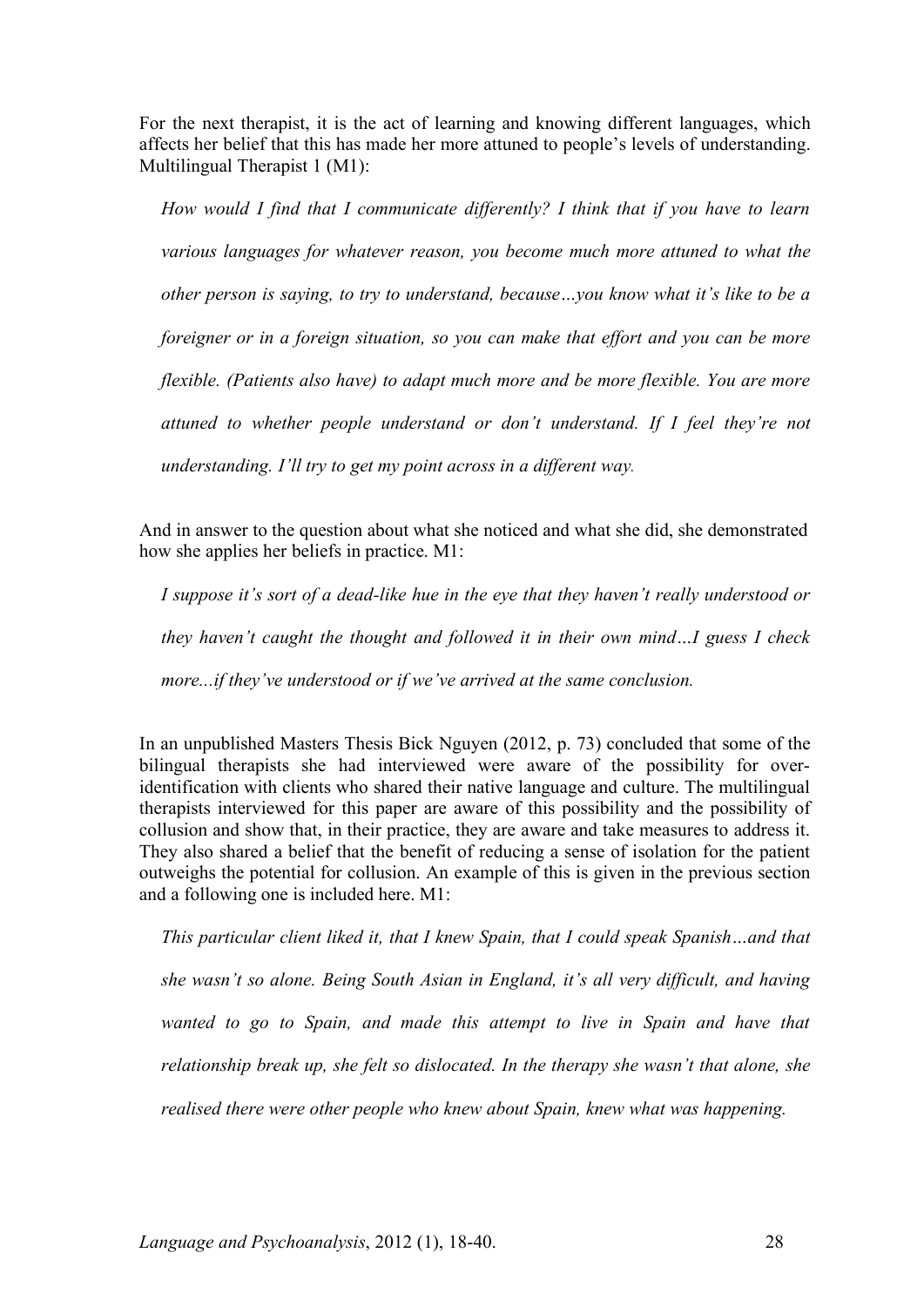For the next therapist, it is the act of learning and knowing different languages, which affects her belief that this has made her more attuned to people's levels of understanding. Multilingual Therapist 1 (M1):

*How would I find that I communicate differently? I think that if you have to learn various languages for whatever reason, you become much more attuned to what the other person is saying, to try to understand, because…you know what it's like to be a foreigner or in a foreign situation, so you can make that effort and you can be more flexible. (Patients also have) to adapt much more and be more flexible. You are more attuned to whether people understand or don't understand. If I feel they're not understanding. I'll try to get my point across in a different way.*

And in answer to the question about what she noticed and what she did, she demonstrated how she applies her beliefs in practice. M1:

*I suppose it's sort of a dead-like hue in the eye that they haven't really understood or they haven't caught the thought and followed it in their own mind…I guess I check more...if they've understood or if we've arrived at the same conclusion.*

In an unpublished Masters Thesis Bick Nguyen (2012, p. 73) concluded that some of the bilingual therapists she had interviewed were aware of the possibility for overidentification with clients who shared their native language and culture. The multilingual therapists interviewed for this paper are aware of this possibility and the possibility of collusion and show that, in their practice, they are aware and take measures to address it. They also shared a belief that the benefit of reducing a sense of isolation for the patient outweighs the potential for collusion. An example of this is given in the previous section and a following one is included here. M1:

*This particular client liked it, that I knew Spain, that I could speak Spanish…and that she wasn't so alone. Being South Asian in England, it's all very difficult, and having wanted to go to Spain, and made this attempt to live in Spain and have that relationship break up, she felt so dislocated. In the therapy she wasn't that alone, she realised there were other people who knew about Spain, knew what was happening.*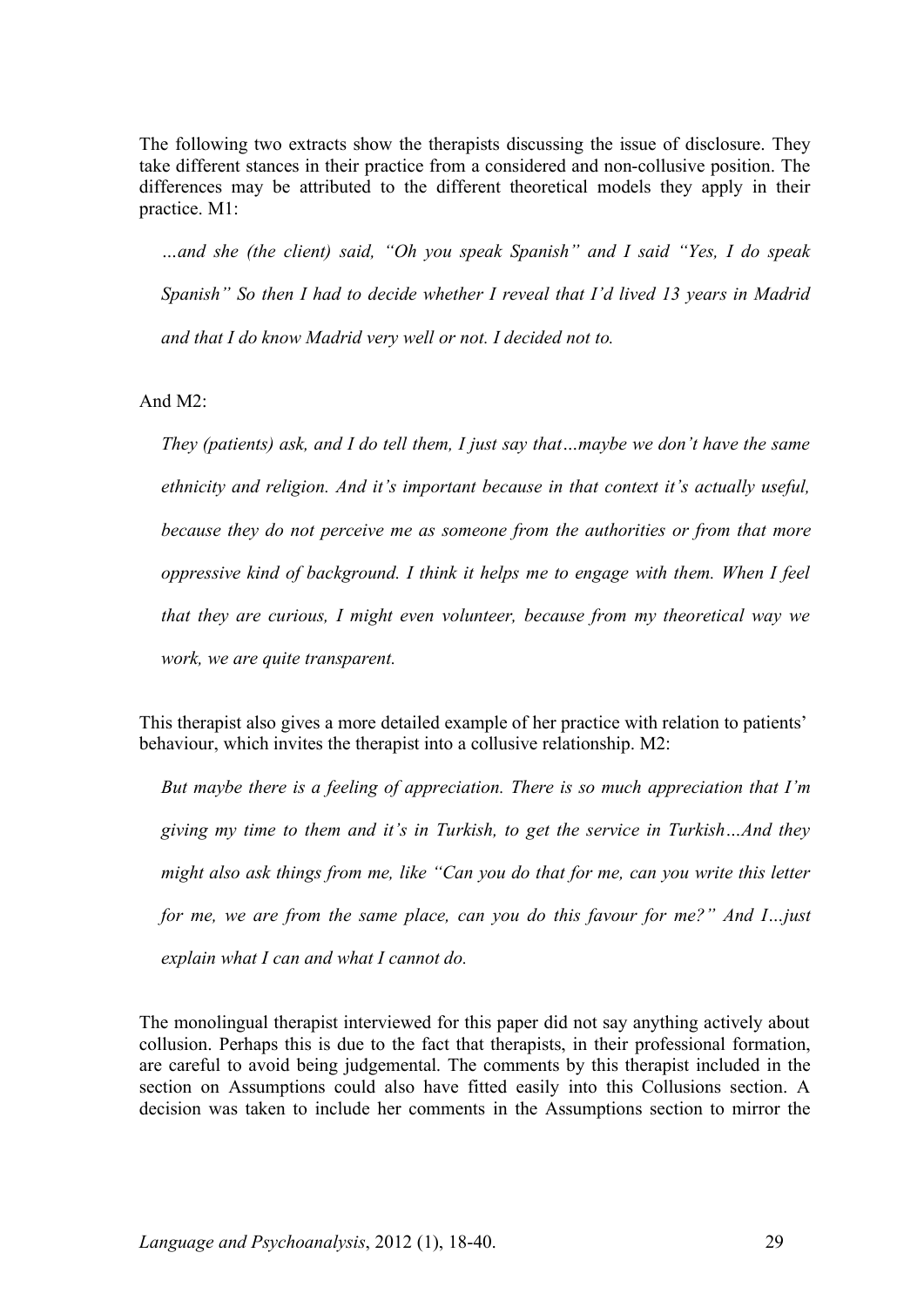The following two extracts show the therapists discussing the issue of disclosure. They take different stances in their practice from a considered and non-collusive position. The differences may be attributed to the different theoretical models they apply in their practice. M1:

*…and she (the client) said, "Oh you speak Spanish" and I said "Yes, I do speak Spanish" So then I had to decide whether I reveal that I'd lived 13 years in Madrid and that I do know Madrid very well or not. I decided not to.*

And M2:

*They (patients) ask, and I do tell them, I just say that…maybe we don't have the same ethnicity and religion. And it's important because in that context it's actually useful, because they do not perceive me as someone from the authorities or from that more oppressive kind of background. I think it helps me to engage with them. When I feel that they are curious, I might even volunteer, because from my theoretical way we work, we are quite transparent.*

This therapist also gives a more detailed example of her practice with relation to patients' behaviour, which invites the therapist into a collusive relationship. M2:

*But maybe there is a feeling of appreciation. There is so much appreciation that I'm giving my time to them and it's in Turkish, to get the service in Turkish…And they might also ask things from me, like "Can you do that for me, can you write this letter for me, we are from the same place, can you do this favour for me?" And I…just explain what I can and what I cannot do.*

The monolingual therapist interviewed for this paper did not say anything actively about collusion. Perhaps this is due to the fact that therapists, in their professional formation, are careful to avoid being judgemental. The comments by this therapist included in the section on Assumptions could also have fitted easily into this Collusions section. A decision was taken to include her comments in the Assumptions section to mirror the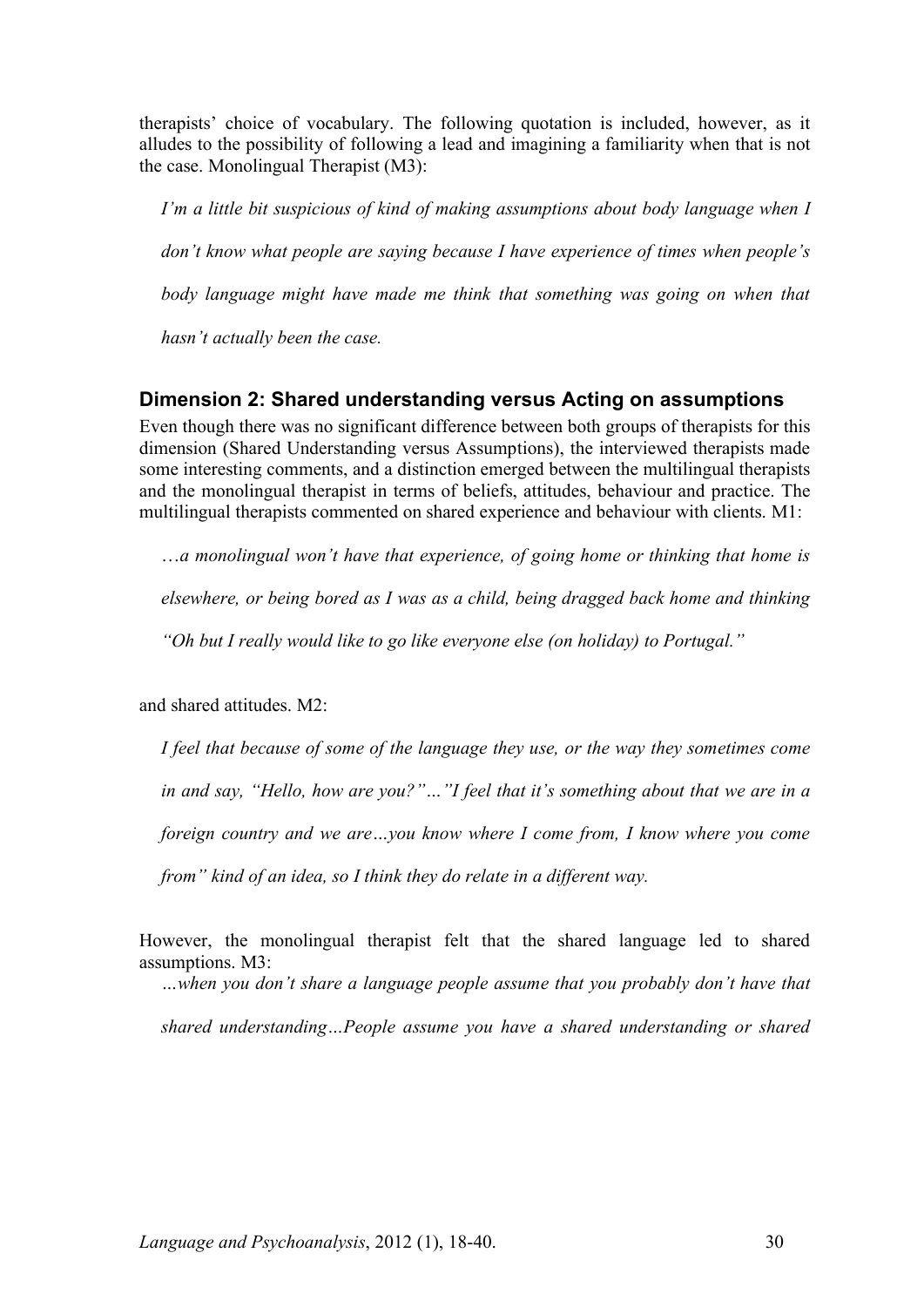therapists' choice of vocabulary. The following quotation is included, however, as it alludes to the possibility of following a lead and imagining a familiarity when that is not the case. Monolingual Therapist (M3):

*I'm a little bit suspicious of kind of making assumptions about body language when I don't know what people are saying because I have experience of times when people's body language might have made me think that something was going on when that* 

*hasn't actually been the case.*

### **Dimension 2: Shared understanding versus Acting on assumptions**

Even though there was no significant difference between both groups of therapists for this dimension (Shared Understanding versus Assumptions), the interviewed therapists made some interesting comments, and a distinction emerged between the multilingual therapists and the monolingual therapist in terms of beliefs, attitudes, behaviour and practice. The multilingual therapists commented on shared experience and behaviour with clients. M1:

…*a monolingual won't have that experience, of going home or thinking that home is* 

*elsewhere, or being bored as I was as a child, being dragged back home and thinking* 

*"Oh but I really would like to go like everyone else (on holiday) to Portugal."*

and shared attitudes. M2:

*I feel that because of some of the language they use, or the way they sometimes come in and say, "Hello, how are you?"…"I feel that it's something about that we are in a foreign country and we are…you know where I come from, I know where you come from" kind of an idea, so I think they do relate in a different way.*

However, the monolingual therapist felt that the shared language led to shared assumptions. M3:

*…when you don't share a language people assume that you probably don't have that shared understanding…People assume you have a shared understanding or shared*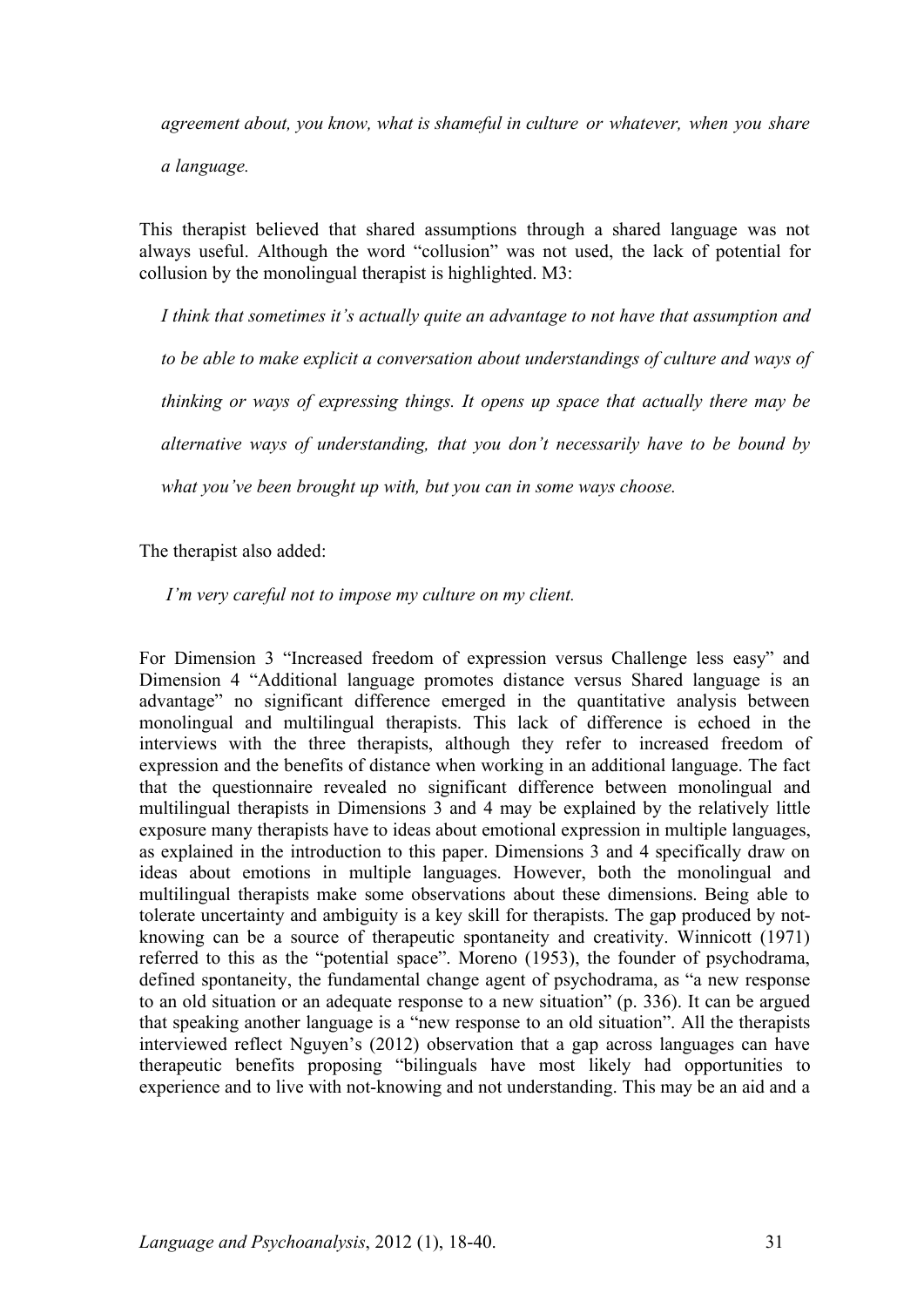*agreement about, you know, what is shameful in culture or whatever, when you share* 

*a language.*

This therapist believed that shared assumptions through a shared language was not always useful. Although the word "collusion" was not used, the lack of potential for collusion by the monolingual therapist is highlighted. M3:

*I think that sometimes it's actually quite an advantage to not have that assumption and to be able to make explicit a conversation about understandings of culture and ways of thinking or ways of expressing things. It opens up space that actually there may be alternative ways of understanding, that you don't necessarily have to be bound by* 

*what you've been brought up with, but you can in some ways choose.*

The therapist also added:

*I'm very careful not to impose my culture on my client.*

For Dimension 3 "Increased freedom of expression versus Challenge less easy" and Dimension 4 "Additional language promotes distance versus Shared language is an advantage" no significant difference emerged in the quantitative analysis between monolingual and multilingual therapists. This lack of difference is echoed in the interviews with the three therapists, although they refer to increased freedom of expression and the benefits of distance when working in an additional language. The fact that the questionnaire revealed no significant difference between monolingual and multilingual therapists in Dimensions 3 and 4 may be explained by the relatively little exposure many therapists have to ideas about emotional expression in multiple languages, as explained in the introduction to this paper. Dimensions 3 and 4 specifically draw on ideas about emotions in multiple languages. However, both the monolingual and multilingual therapists make some observations about these dimensions. Being able to tolerate uncertainty and ambiguity is a key skill for therapists. The gap produced by notknowing can be a source of therapeutic spontaneity and creativity. Winnicott (1971) referred to this as the "potential space". Moreno (1953), the founder of psychodrama, defined spontaneity, the fundamental change agent of psychodrama, as "a new response to an old situation or an adequate response to a new situation" (p. 336). It can be argued that speaking another language is a "new response to an old situation". All the therapists interviewed reflect Nguyen's (2012) observation that a gap across languages can have therapeutic benefits proposing "bilinguals have most likely had opportunities to experience and to live with not-knowing and not understanding. This may be an aid and a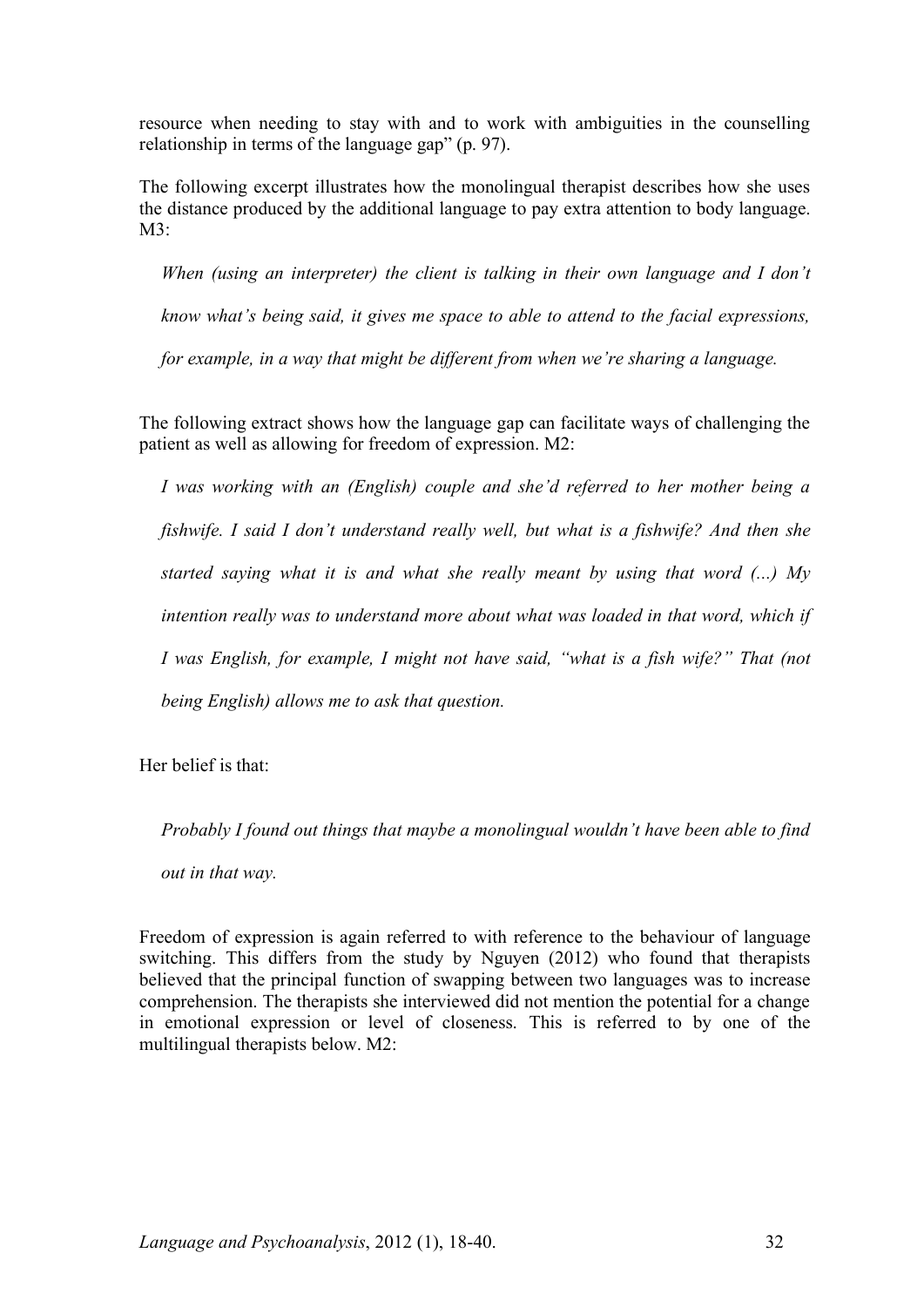resource when needing to stay with and to work with ambiguities in the counselling relationship in terms of the language gap" (p. 97).

The following excerpt illustrates how the monolingual therapist describes how she uses the distance produced by the additional language to pay extra attention to body language.  $M3$ :

*When (using an interpreter) the client is talking in their own language and I don't* 

*know what's being said, it gives me space to able to attend to the facial expressions,* 

*for example, in a way that might be different from when we're sharing a language.*

The following extract shows how the language gap can facilitate ways of challenging the patient as well as allowing for freedom of expression. M2:

*I was working with an (English) couple and she'd referred to her mother being a fishwife. I said I don't understand really well, but what is a fishwife? And then she started saying what it is and what she really meant by using that word (...) My intention really was to understand more about what was loaded in that word, which if I was English, for example, I might not have said, "what is a fish wife?" That (not being English) allows me to ask that question.*

Her belief is that:

*Probably I found out things that maybe a monolingual wouldn't have been able to find* 

*out in that way.*

Freedom of expression is again referred to with reference to the behaviour of language switching. This differs from the study by Nguyen (2012) who found that therapists believed that the principal function of swapping between two languages was to increase comprehension. The therapists she interviewed did not mention the potential for a change in emotional expression or level of closeness. This is referred to by one of the multilingual therapists below. M2: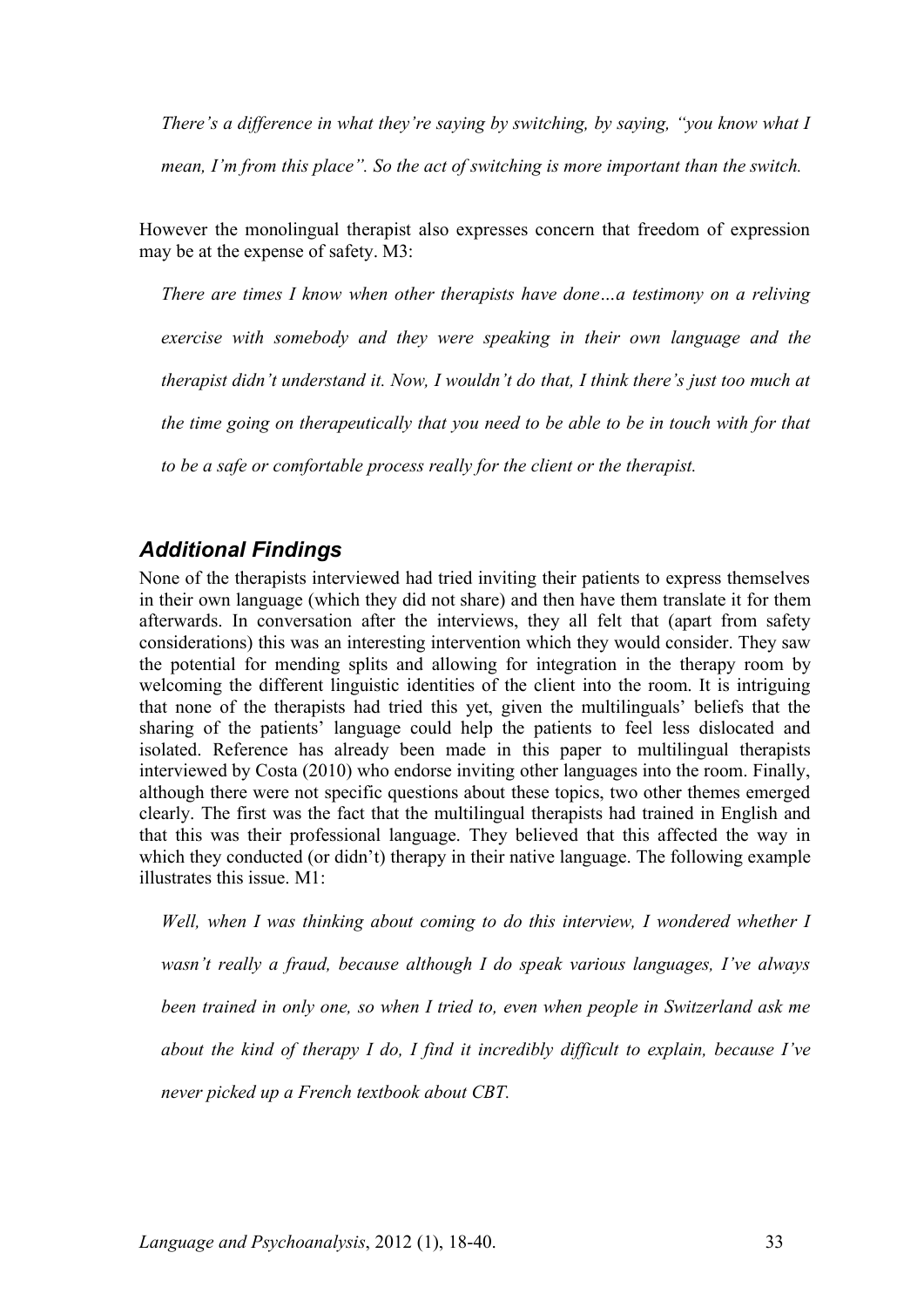*There's a difference in what they're saying by switching, by saying, "you know what I mean, I'm from this place". So the act of switching is more important than the switch.*

However the monolingual therapist also expresses concern that freedom of expression may be at the expense of safety. M3:

*There are times I know when other therapists have done…a testimony on a reliving* 

*exercise with somebody and they were speaking in their own language and the* 

*therapist didn't understand it. Now, I wouldn't do that, I think there's just too much at* 

*the time going on therapeutically that you need to be able to be in touch with for that* 

*to be a safe or comfortable process really for the client or the therapist.*

### *Additional Findings*

None of the therapists interviewed had tried inviting their patients to express themselves in their own language (which they did not share) and then have them translate it for them afterwards. In conversation after the interviews, they all felt that (apart from safety considerations) this was an interesting intervention which they would consider. They saw the potential for mending splits and allowing for integration in the therapy room by welcoming the different linguistic identities of the client into the room. It is intriguing that none of the therapists had tried this yet, given the multilinguals' beliefs that the sharing of the patients' language could help the patients to feel less dislocated and isolated. Reference has already been made in this paper to multilingual therapists interviewed by Costa (2010) who endorse inviting other languages into the room. Finally, although there were not specific questions about these topics, two other themes emerged clearly. The first was the fact that the multilingual therapists had trained in English and that this was their professional language. They believed that this affected the way in which they conducted (or didn't) therapy in their native language. The following example illustrates this issue. M1:

*Well, when I was thinking about coming to do this interview, I wondered whether I wasn't really a fraud, because although I do speak various languages, I've always been trained in only one, so when I tried to, even when people in Switzerland ask me about the kind of therapy I do, I find it incredibly difficult to explain, because I've never picked up a French textbook about CBT.*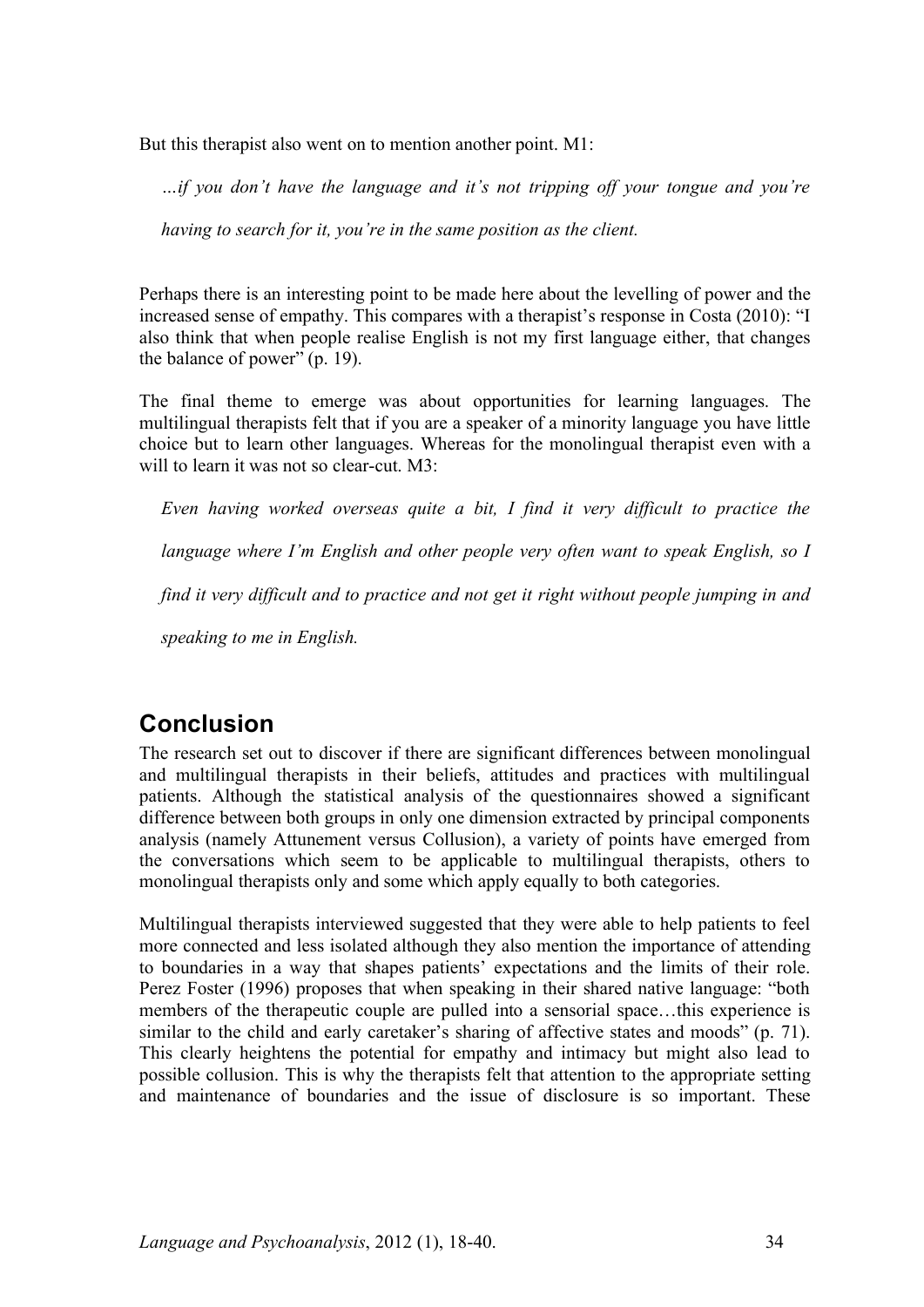But this therapist also went on to mention another point. M1:

*…if you don't have the language and it's not tripping off your tongue and you're* 

*having to search for it, you're in the same position as the client.*

Perhaps there is an interesting point to be made here about the levelling of power and the increased sense of empathy. This compares with a therapist's response in Costa (2010): "I also think that when people realise English is not my first language either, that changes the balance of power" (p. 19).

The final theme to emerge was about opportunities for learning languages. The multilingual therapists felt that if you are a speaker of a minority language you have little choice but to learn other languages. Whereas for the monolingual therapist even with a will to learn it was not so clear-cut. M3:

*Even having worked overseas quite a bit, I find it very difficult to practice the* 

*language where I'm English and other people very often want to speak English, so I* 

*find it very difficult and to practice and not get it right without people jumping in and* 

*speaking to me in English.*

## **Conclusion**

The research set out to discover if there are significant differences between monolingual and multilingual therapists in their beliefs, attitudes and practices with multilingual patients. Although the statistical analysis of the questionnaires showed a significant difference between both groups in only one dimension extracted by principal components analysis (namely Attunement versus Collusion), a variety of points have emerged from the conversations which seem to be applicable to multilingual therapists, others to monolingual therapists only and some which apply equally to both categories.

Multilingual therapists interviewed suggested that they were able to help patients to feel more connected and less isolated although they also mention the importance of attending to boundaries in a way that shapes patients' expectations and the limits of their role. Perez Foster (1996) proposes that when speaking in their shared native language: "both members of the therapeutic couple are pulled into a sensorial space…this experience is similar to the child and early caretaker's sharing of affective states and moods" (p. 71). This clearly heightens the potential for empathy and intimacy but might also lead to possible collusion. This is why the therapists felt that attention to the appropriate setting and maintenance of boundaries and the issue of disclosure is so important. These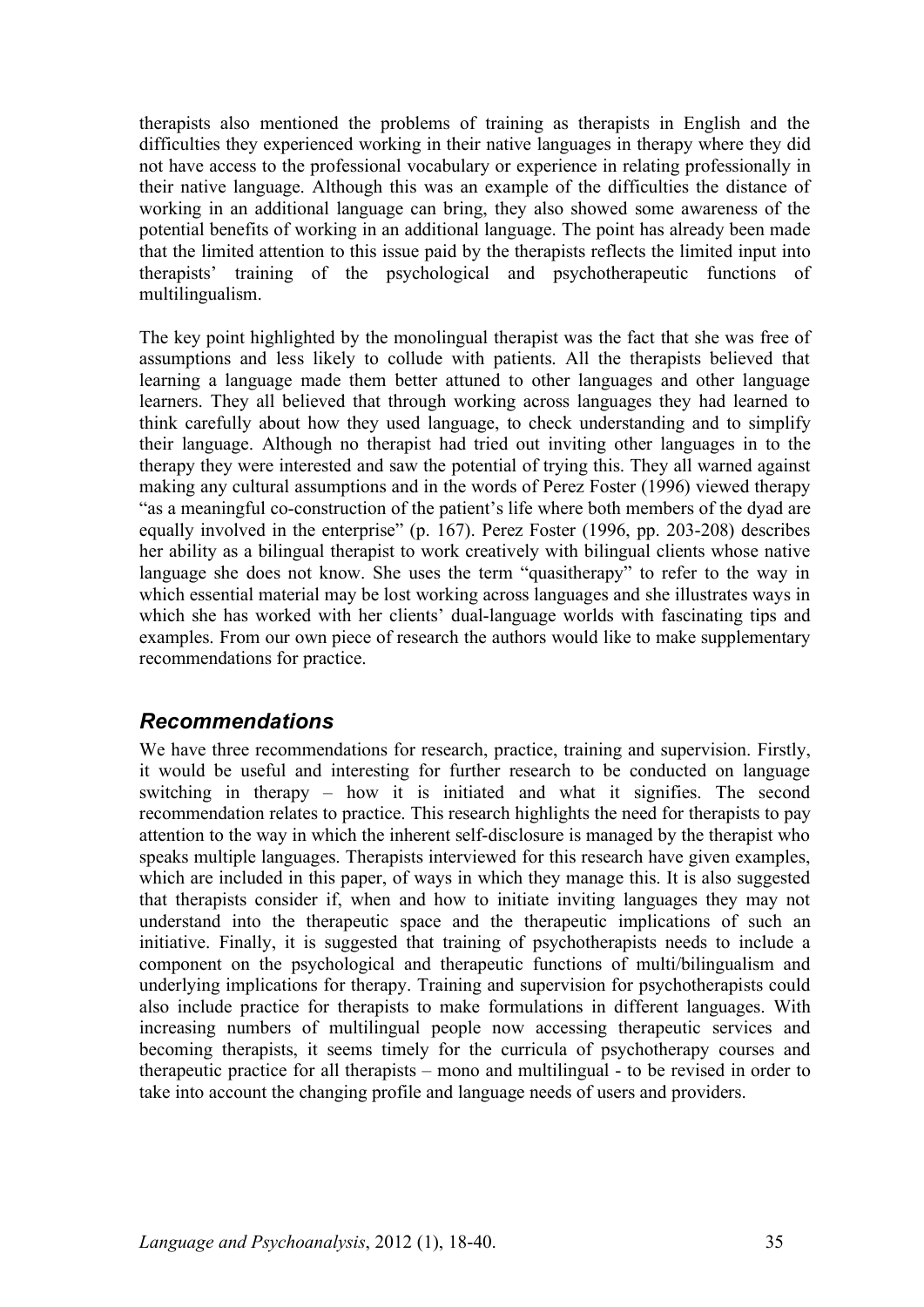therapists also mentioned the problems of training as therapists in English and the difficulties they experienced working in their native languages in therapy where they did not have access to the professional vocabulary or experience in relating professionally in their native language. Although this was an example of the difficulties the distance of working in an additional language can bring, they also showed some awareness of the potential benefits of working in an additional language. The point has already been made that the limited attention to this issue paid by the therapists reflects the limited input into therapists' training of the psychological and psychotherapeutic functions of multilingualism.

The key point highlighted by the monolingual therapist was the fact that she was free of assumptions and less likely to collude with patients. All the therapists believed that learning a language made them better attuned to other languages and other language learners. They all believed that through working across languages they had learned to think carefully about how they used language, to check understanding and to simplify their language. Although no therapist had tried out inviting other languages in to the therapy they were interested and saw the potential of trying this. They all warned against making any cultural assumptions and in the words of Perez Foster (1996) viewed therapy "as a meaningful co-construction of the patient's life where both members of the dyad are equally involved in the enterprise" (p. 167). Perez Foster (1996, pp. 203-208) describes her ability as a bilingual therapist to work creatively with bilingual clients whose native language she does not know. She uses the term "quasitherapy" to refer to the way in which essential material may be lost working across languages and she illustrates ways in which she has worked with her clients' dual-language worlds with fascinating tips and examples. From our own piece of research the authors would like to make supplementary recommendations for practice.

### *Recommendations*

We have three recommendations for research, practice, training and supervision. Firstly, it would be useful and interesting for further research to be conducted on language switching in therapy – how it is initiated and what it signifies. The second recommendation relates to practice. This research highlights the need for therapists to pay attention to the way in which the inherent self-disclosure is managed by the therapist who speaks multiple languages. Therapists interviewed for this research have given examples, which are included in this paper, of ways in which they manage this. It is also suggested that therapists consider if, when and how to initiate inviting languages they may not understand into the therapeutic space and the therapeutic implications of such an initiative. Finally, it is suggested that training of psychotherapists needs to include a component on the psychological and therapeutic functions of multi/bilingualism and underlying implications for therapy. Training and supervision for psychotherapists could also include practice for therapists to make formulations in different languages. With increasing numbers of multilingual people now accessing therapeutic services and becoming therapists, it seems timely for the curricula of psychotherapy courses and therapeutic practice for all therapists – mono and multilingual - to be revised in order to take into account the changing profile and language needs of users and providers.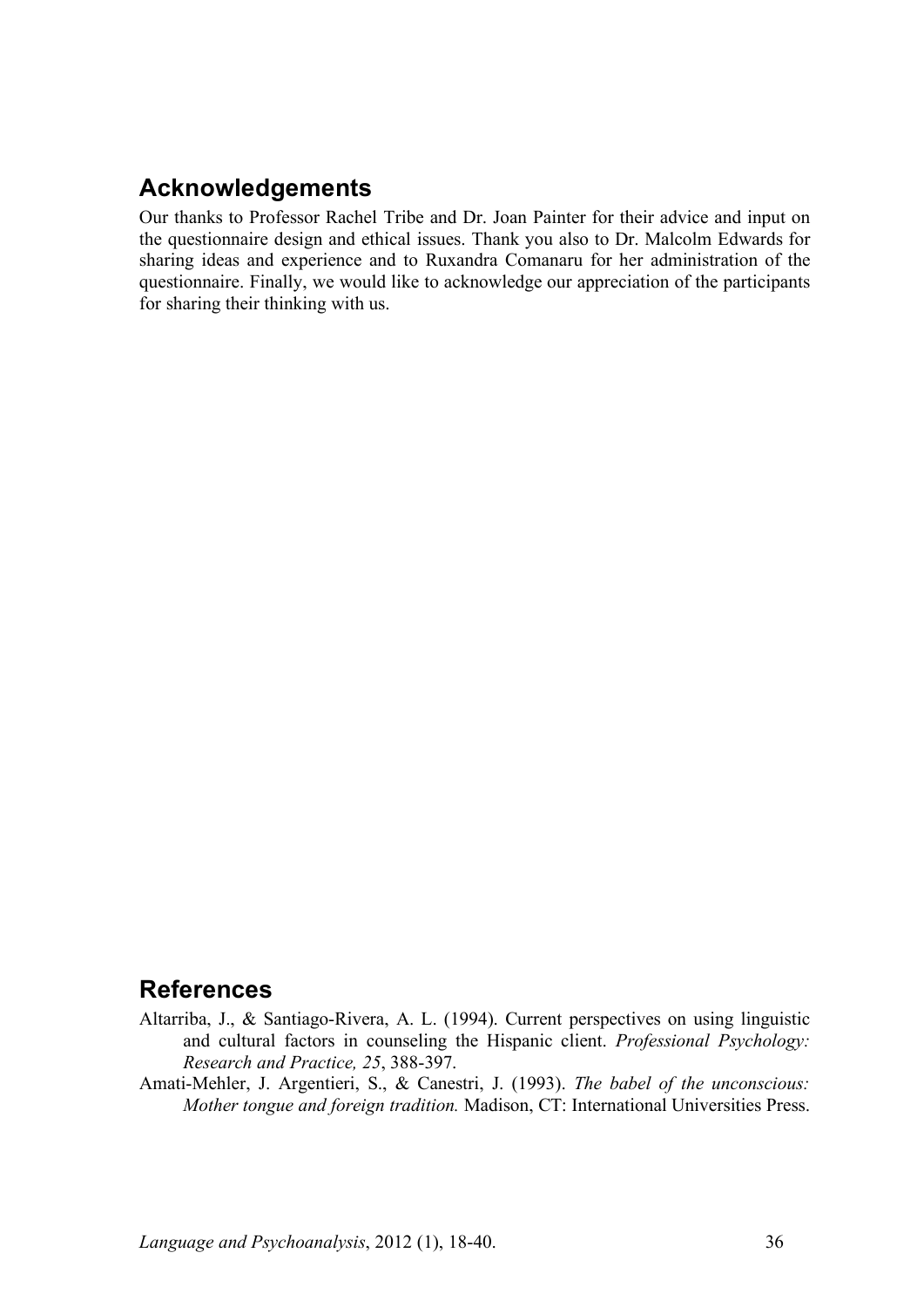## **Acknowledgements**

Our thanks to Professor Rachel Tribe and Dr. Joan Painter for their advice and input on the questionnaire design and ethical issues. Thank you also to Dr. Malcolm Edwards for sharing ideas and experience and to Ruxandra Comanaru for her administration of the questionnaire. Finally, we would like to acknowledge our appreciation of the participants for sharing their thinking with us.

## **References**

- Altarriba, J., & Santiago-Rivera, A. L. (1994). Current perspectives on using linguistic and cultural factors in counseling the Hispanic client. *Professional Psychology: Research and Practice, 25*, 388-397.
- Amati-Mehler, J. Argentieri, S., & Canestri, J. (1993). *The babel of the unconscious: Mother tongue and foreign tradition.* Madison, CT: International Universities Press.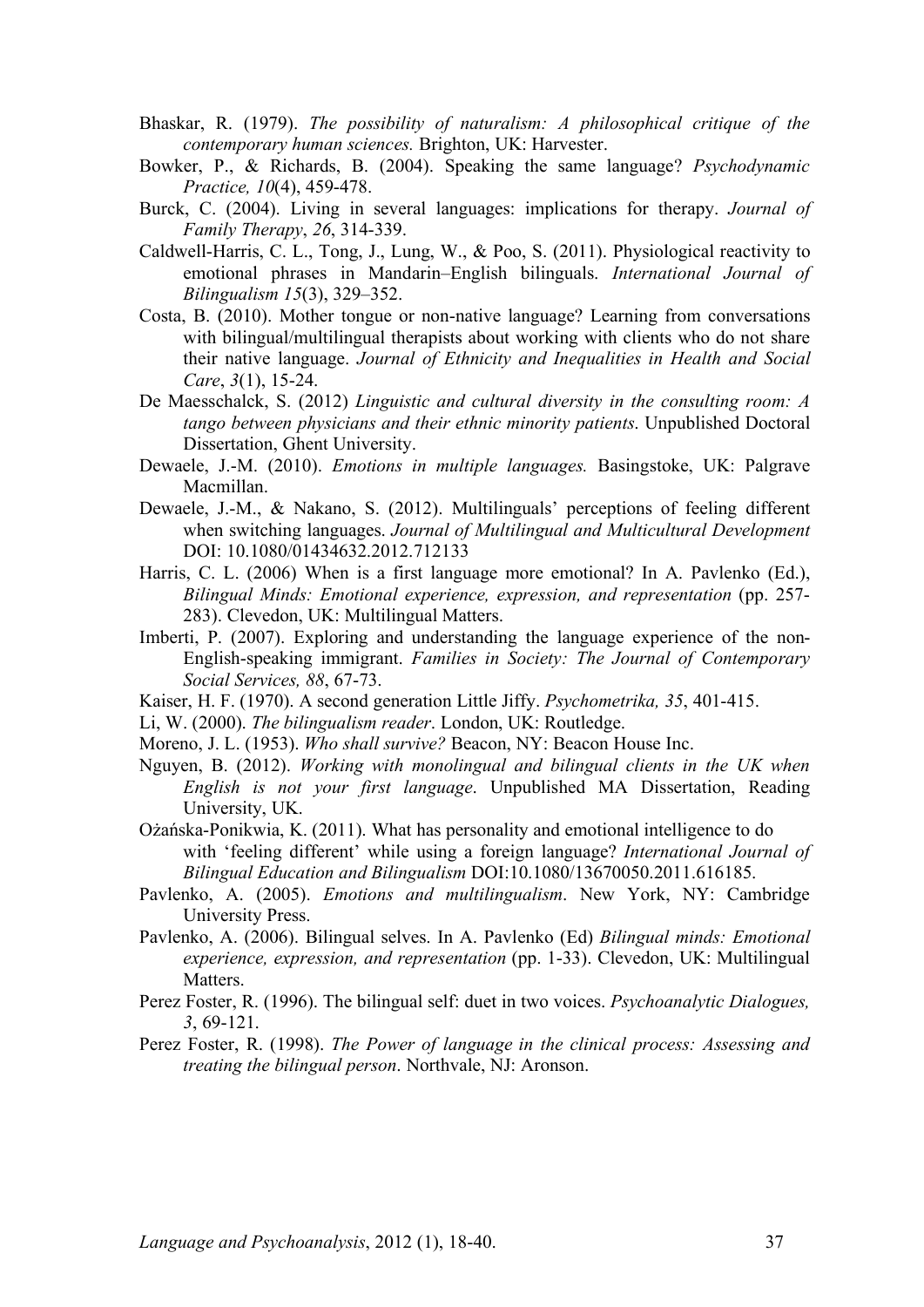- Bhaskar, R. (1979). *The possibility of naturalism: A philosophical critique of the contemporary human sciences.* Brighton, UK: Harvester.
- Bowker, P., & Richards, B. (2004). Speaking the same language? *Psychodynamic Practice, 10*(4), 459-478.
- Burck, C. (2004). Living in several languages: implications for therapy. *Journal of Family Therapy*, *26*, 314-339.
- Caldwell-Harris, C. L., Tong, J., Lung, W., & Poo, S. (2011). Physiological reactivity to emotional phrases in Mandarin–English bilinguals. *International Journal of Bilingualism 15*(3), 329–352.
- Costa, B. (2010). Mother tongue or non-native language? Learning from conversations with bilingual/multilingual therapists about working with clients who do not share their native language. *Journal of Ethnicity and Inequalities in Health and Social Care*, *3*(1), 15-24.
- De Maesschalck, S. (2012) *Linguistic and cultural diversity in the consulting room: A tango between physicians and their ethnic minority patients*. Unpublished Doctoral Dissertation, Ghent University.
- Dewaele, J.-M. (2010). *Emotions in multiple languages.* Basingstoke, UK: Palgrave Macmillan.
- Dewaele, J.-M., & Nakano, S. (2012). Multilinguals' perceptions of feeling different when switching languages. *Journal of Multilingual and Multicultural Development* DOI: 10.1080/01434632.2012.712133
- Harris, C. L. (2006) When is a first language more emotional? In A. Pavlenko (Ed.), *Bilingual Minds: Emotional experience, expression, and representation* (pp. 257- 283). Clevedon, UK: Multilingual Matters.
- Imberti, P. (2007). Exploring and understanding the language experience of the non-English-speaking immigrant. *Families in Society: The Journal of Contemporary Social Services, 88*, 67-73.
- Kaiser, H. F. (1970). A second generation Little Jiffy. *Psychometrika, 35*, 401-415.
- Li, W. (2000). *The bilingualism reader*. London, UK: Routledge.
- Moreno, J. L. (1953). *Who shall survive?* Beacon, NY: Beacon House Inc.
- Nguyen, B. (2012). *Working with monolingual and bilingual clients in the UK when English is not your first language*. Unpublished MA Dissertation, Reading University, UK.
- Ożańska-Ponikwia, K. (2011). What has personality and emotional intelligence to do with 'feeling different' while using a foreign language? *International Journal of Bilingual Education and Bilingualism* DOI:10.1080/13670050.2011.616185.
- Pavlenko, A. (2005). *Emotions and multilingualism*. New York, NY: Cambridge University Press.
- Pavlenko, A. (2006). Bilingual selves. In A. Pavlenko (Ed) *Bilingual minds: Emotional experience, expression, and representation* (pp. 1-33). Clevedon, UK: Multilingual Matters.
- Perez Foster, R. (1996). The bilingual self: duet in two voices. *Psychoanalytic Dialogues, 3*, 69-121.
- Perez Foster, R. (1998). *The Power of language in the clinical process: Assessing and treating the bilingual person*. Northvale, NJ: Aronson.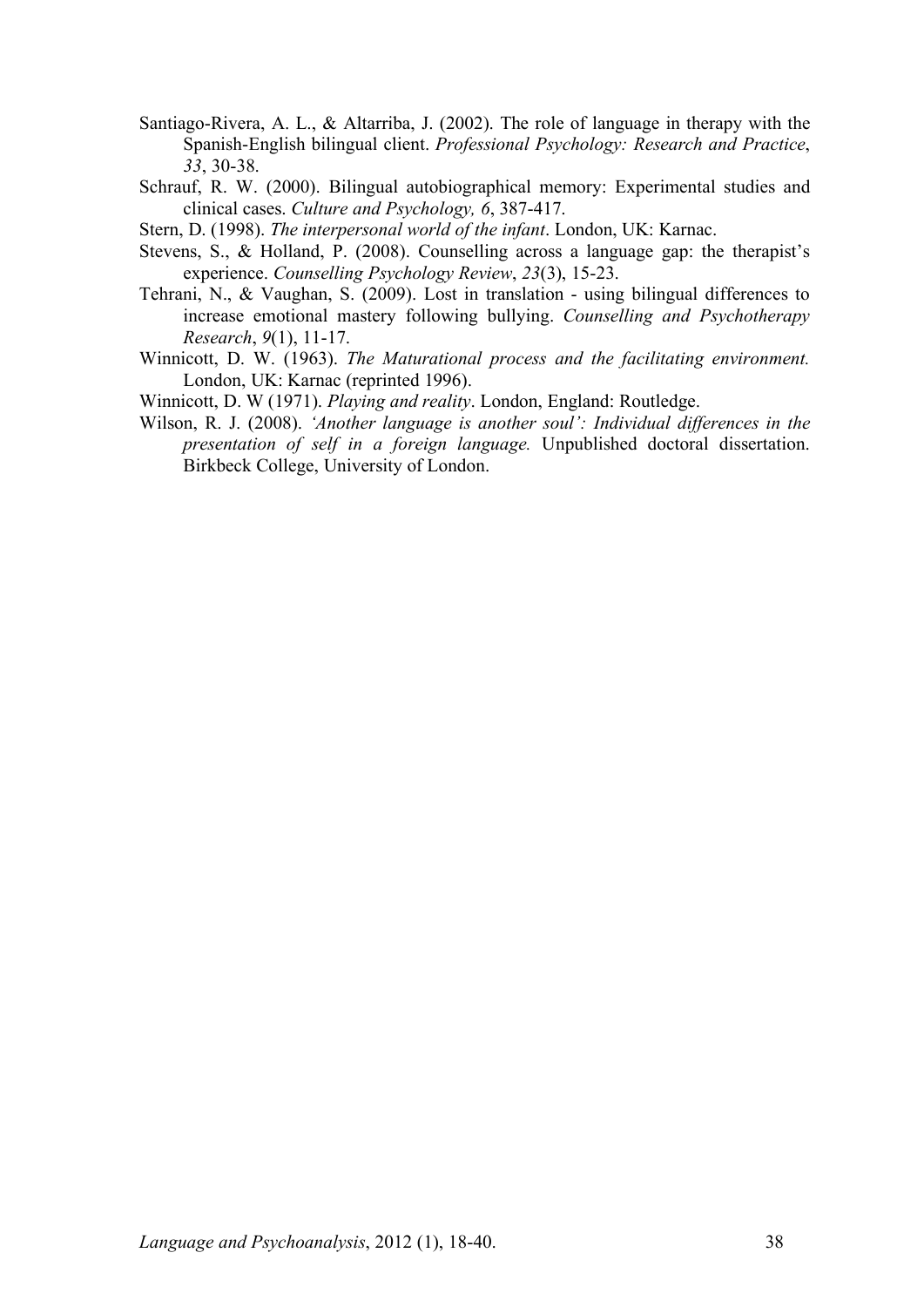- Santiago-Rivera, A. L., & Altarriba, J. (2002). The role of language in therapy with the Spanish-English bilingual client. *Professional Psychology: Research and Practice*, *33*, 30-38.
- Schrauf, R. W. (2000). Bilingual autobiographical memory: Experimental studies and clinical cases. *Culture and Psychology, 6*, 387-417.
- Stern, D. (1998). *The interpersonal world of the infant*. London, UK: Karnac.
- Stevens, S., & Holland, P. (2008). Counselling across a language gap: the therapist's experience. *Counselling Psychology Review*, *23*(3), 15-23.
- Tehrani, N., & Vaughan, S. (2009). Lost in translation using bilingual differences to increase emotional mastery following bullying. *Counselling and Psychotherapy Research*, *9*(1), 11-17.
- Winnicott, D. W. (1963). *The Maturational process and the facilitating environment.* London, UK: Karnac (reprinted 1996).
- Winnicott, D. W (1971). *Playing and reality*. London, England: Routledge.
- Wilson, R. J. (2008). *'Another language is another soul': Individual differences in the presentation of self in a foreign language.* Unpublished doctoral dissertation. Birkbeck College, University of London.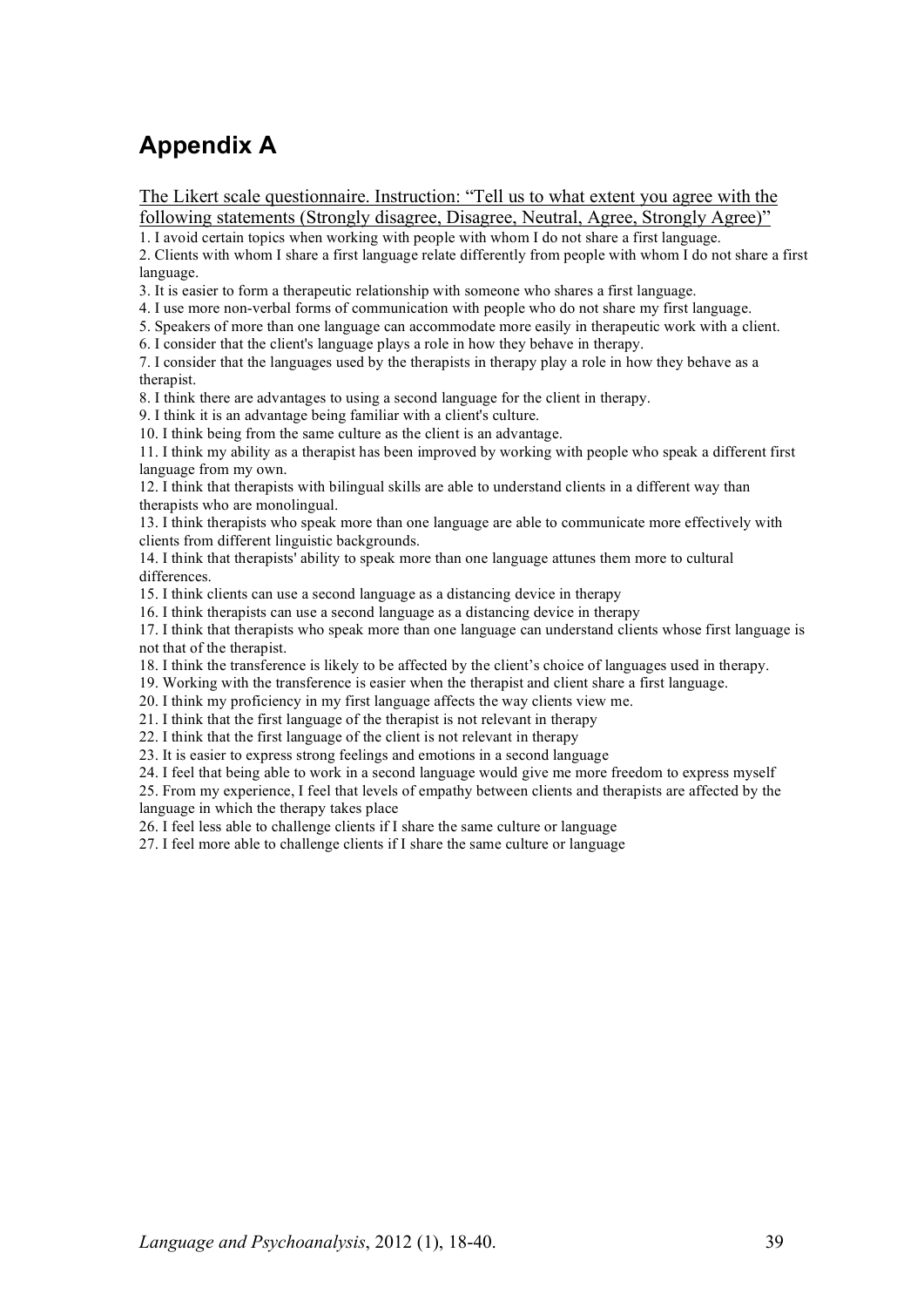## **Appendix A**

#### The Likert scale questionnaire. Instruction: "Tell us to what extent you agree with the following statements (Strongly disagree, Disagree, Neutral, Agree, Strongly Agree)"

1. I avoid certain topics when working with people with whom I do not share a first language.

2. Clients with whom I share a first language relate differently from people with whom I do not share a first language.

3. It is easier to form a therapeutic relationship with someone who shares a first language.

4. I use more non-verbal forms of communication with people who do not share my first language.

5. Speakers of more than one language can accommodate more easily in therapeutic work with a client.

6. I consider that the client's language plays a role in how they behave in therapy.

7. I consider that the languages used by the therapists in therapy play a role in how they behave as a therapist.

8. I think there are advantages to using a second language for the client in therapy.

9. I think it is an advantage being familiar with a client's culture.

10. I think being from the same culture as the client is an advantage.

11. I think my ability as a therapist has been improved by working with people who speak a different first language from my own.

12. I think that therapists with bilingual skills are able to understand clients in a different way than therapists who are monolingual.

13. I think therapists who speak more than one language are able to communicate more effectively with clients from different linguistic backgrounds.

14. I think that therapists' ability to speak more than one language attunes them more to cultural differences.

15. I think clients can use a second language as a distancing device in therapy

16. I think therapists can use a second language as a distancing device in therapy

17. I think that therapists who speak more than one language can understand clients whose first language is not that of the therapist.

18. I think the transference is likely to be affected by the client's choice of languages used in therapy.

19. Working with the transference is easier when the therapist and client share a first language.

20. I think my proficiency in my first language affects the way clients view me.

21. I think that the first language of the therapist is not relevant in therapy

22. I think that the first language of the client is not relevant in therapy

23. It is easier to express strong feelings and emotions in a second language

24. I feel that being able to work in a second language would give me more freedom to express myself

25. From my experience, I feel that levels of empathy between clients and therapists are affected by the language in which the therapy takes place

26. I feel less able to challenge clients if I share the same culture or language

27. I feel more able to challenge clients if I share the same culture or language